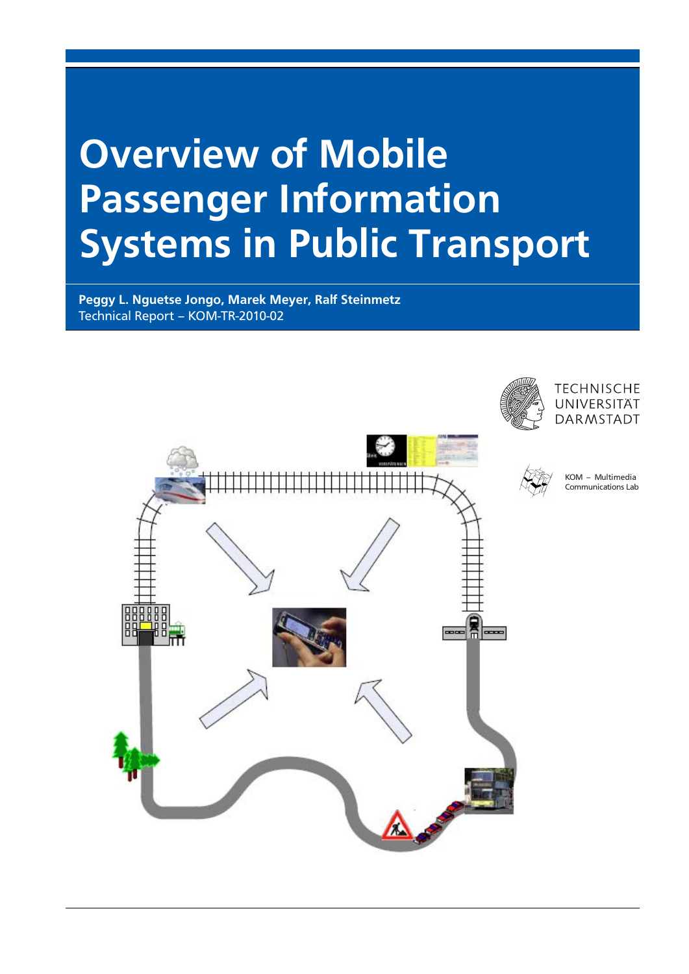# Overview of Mobile Passenger Information Systems in Public Transport

Peggy L. Nguetse Jongo, Marek Meyer, Ralf Steinmetz Technical Report – KOM-TR-2010-02

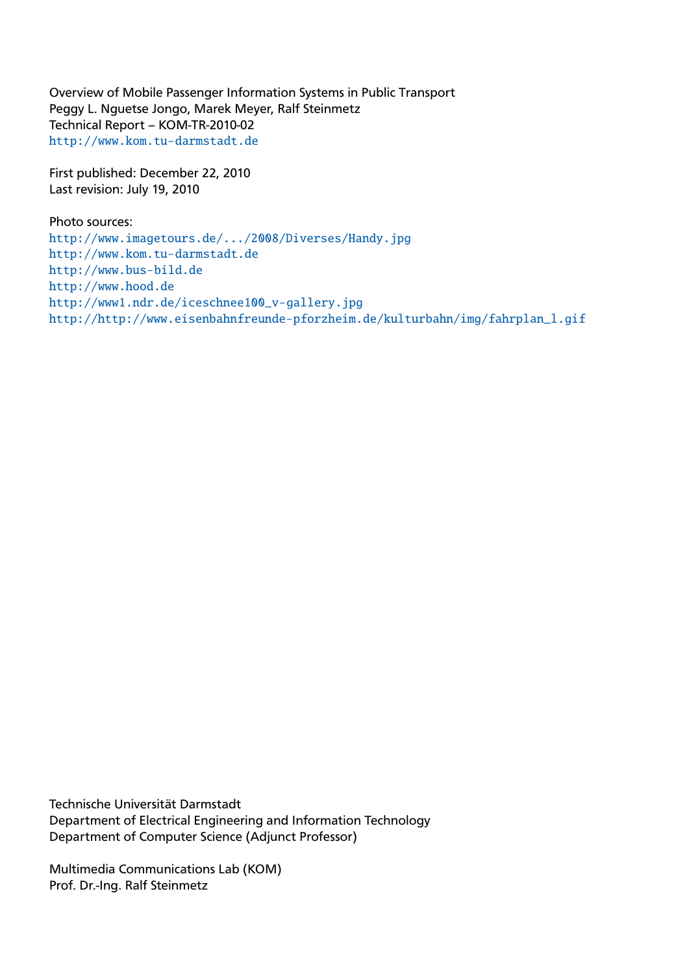Overview of Mobile Passenger Information Systems in Public Transport Peggy L. Nguetse Jongo, Marek Meyer, Ralf Steinmetz Technical Report – KOM-TR-2010-02 <http://www.kom.tu-darmstadt.de>

First published: December 22, 2010 Last revision: July 19, 2010

Photo sources: <http://www.imagetours.de/.../2008/Diverses/Handy.jpg> <http://www.kom.tu-darmstadt.de> <http://www.bus-bild.de> <http://www.hood.de> [http://www1.ndr.de/iceschnee100\\_v-gallery.jpg](http://www1.ndr.de/ iceschnee100_v-gallery.jpg) [http://http://www.eisenbahnfreunde-pforzheim.de/kulturbahn/img/fahrplan\\_l.gif](http://http://www.eisenbahnfreunde-pforzheim.de/kulturbahn/img/fahrplan_l.gif)

Technische Universität Darmstadt Department of Electrical Engineering and Information Technology Department of Computer Science (Adjunct Professor)

Multimedia Communications Lab (KOM) Prof. Dr.-Ing. Ralf Steinmetz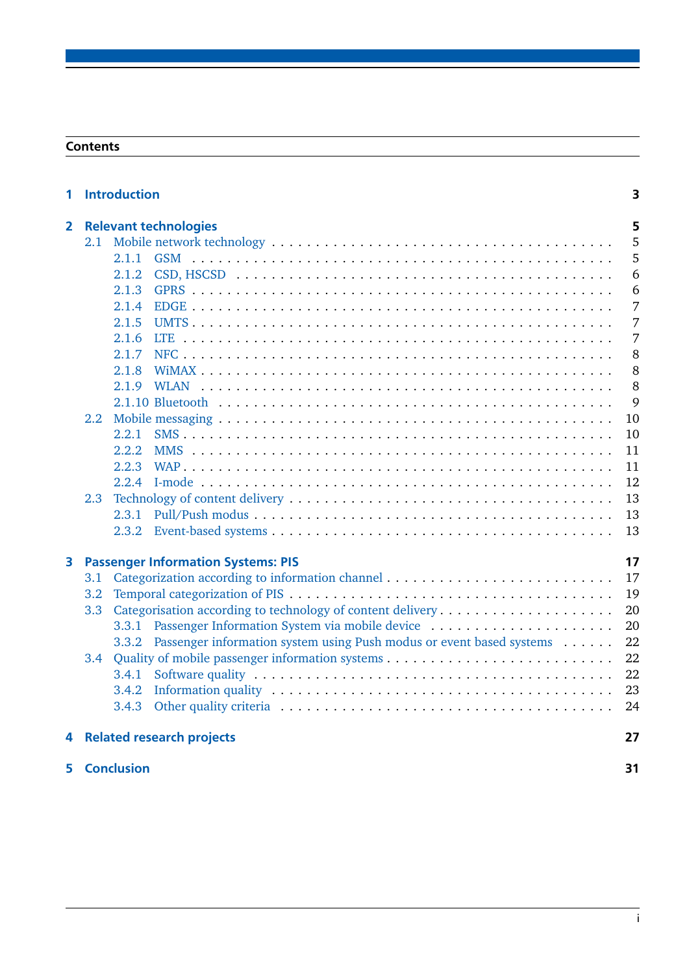## **Contents**

| <b>Introduction</b><br>1 |                                                 |                              |                                                                                                                 | 3  |  |
|--------------------------|-------------------------------------------------|------------------------------|-----------------------------------------------------------------------------------------------------------------|----|--|
| $\mathbf{2}$             |                                                 | <b>Relevant technologies</b> |                                                                                                                 |    |  |
|                          |                                                 |                              |                                                                                                                 | 5  |  |
|                          |                                                 | 2.1.1                        |                                                                                                                 | 5  |  |
|                          |                                                 | 2.1.2                        |                                                                                                                 | 6  |  |
|                          |                                                 | 2.1.3                        |                                                                                                                 | 6  |  |
|                          |                                                 | 2.1.4                        |                                                                                                                 | 7  |  |
|                          |                                                 | 2.1.5                        |                                                                                                                 | 7  |  |
|                          |                                                 | 2.1.6                        |                                                                                                                 | 7  |  |
|                          |                                                 | 2.1.7                        |                                                                                                                 | 8  |  |
|                          |                                                 | 2.1.8                        |                                                                                                                 | 8  |  |
|                          |                                                 | 2.1.9                        |                                                                                                                 | 8  |  |
|                          |                                                 |                              |                                                                                                                 | 9  |  |
|                          | 2.2                                             |                              |                                                                                                                 | 10 |  |
|                          |                                                 | 2.2.1                        |                                                                                                                 | 10 |  |
|                          |                                                 | 2.2.2                        |                                                                                                                 | 11 |  |
|                          |                                                 | 2.2.3                        |                                                                                                                 | 11 |  |
|                          |                                                 | 2.2.4                        |                                                                                                                 | 12 |  |
|                          | 2.3                                             |                              |                                                                                                                 | 13 |  |
|                          |                                                 | 2.3.1                        |                                                                                                                 | 13 |  |
|                          |                                                 | 2.3.2                        |                                                                                                                 | 13 |  |
| 3                        | <b>Passenger Information Systems: PIS</b><br>17 |                              |                                                                                                                 |    |  |
|                          | 3.1                                             |                              |                                                                                                                 | 17 |  |
|                          | 3.2                                             |                              |                                                                                                                 | 19 |  |
|                          | 3.3                                             |                              |                                                                                                                 | 20 |  |
|                          |                                                 |                              | 3.3.1 Passenger Information System via mobile device                                                            | 20 |  |
|                          |                                                 | 3.3.2                        | Passenger information system using Push modus or event based systems                                            | 22 |  |
|                          | 3.4                                             |                              |                                                                                                                 | 22 |  |
|                          |                                                 | 3.4.1                        |                                                                                                                 | 22 |  |
|                          |                                                 | 3.4.2                        | Information quality $\dots \dots \dots \dots \dots \dots \dots \dots \dots \dots \dots \dots \dots \dots \dots$ | 23 |  |
|                          |                                                 | 3.4.3                        |                                                                                                                 | 24 |  |
|                          | 4 Related research projects                     |                              |                                                                                                                 | 27 |  |
|                          | <b>5</b> Conclusion                             |                              |                                                                                                                 | 31 |  |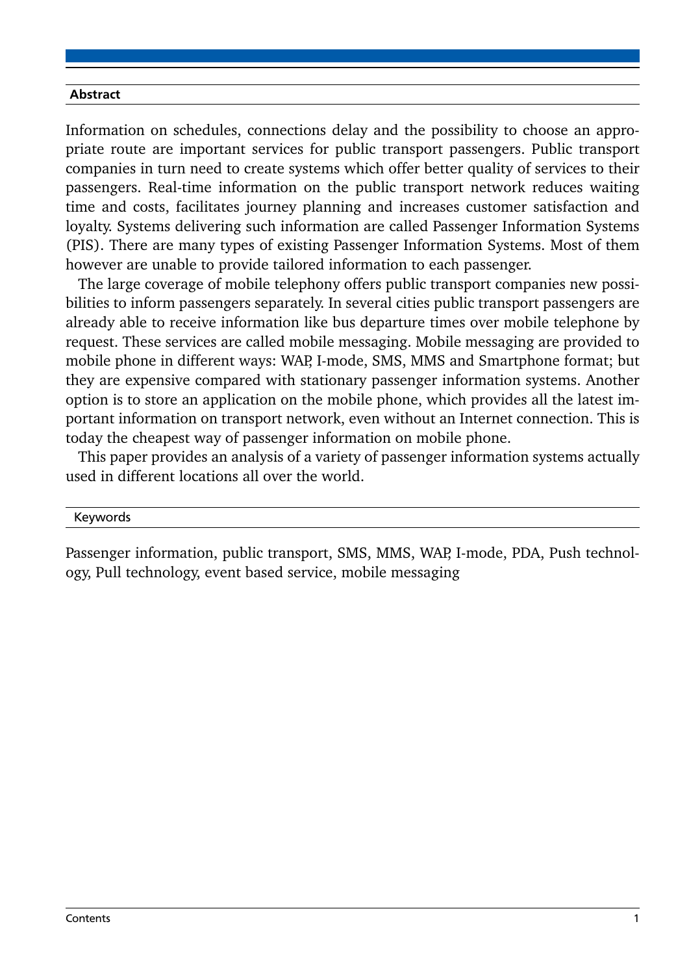#### Abstract

Information on schedules, connections delay and the possibility to choose an appropriate route are important services for public transport passengers. Public transport companies in turn need to create systems which offer better quality of services to their passengers. Real-time information on the public transport network reduces waiting time and costs, facilitates journey planning and increases customer satisfaction and loyalty. Systems delivering such information are called Passenger Information Systems (PIS). There are many types of existing Passenger Information Systems. Most of them however are unable to provide tailored information to each passenger.

The large coverage of mobile telephony offers public transport companies new possibilities to inform passengers separately. In several cities public transport passengers are already able to receive information like bus departure times over mobile telephone by request. These services are called mobile messaging. Mobile messaging are provided to mobile phone in different ways: WAP, I-mode, SMS, MMS and Smartphone format; but they are expensive compared with stationary passenger information systems. Another option is to store an application on the mobile phone, which provides all the latest important information on transport network, even without an Internet connection. This is today the cheapest way of passenger information on mobile phone.

This paper provides an analysis of a variety of passenger information systems actually used in different locations all over the world.

#### Keywords

Passenger information, public transport, SMS, MMS, WAP, I-mode, PDA, Push technology, Pull technology, event based service, mobile messaging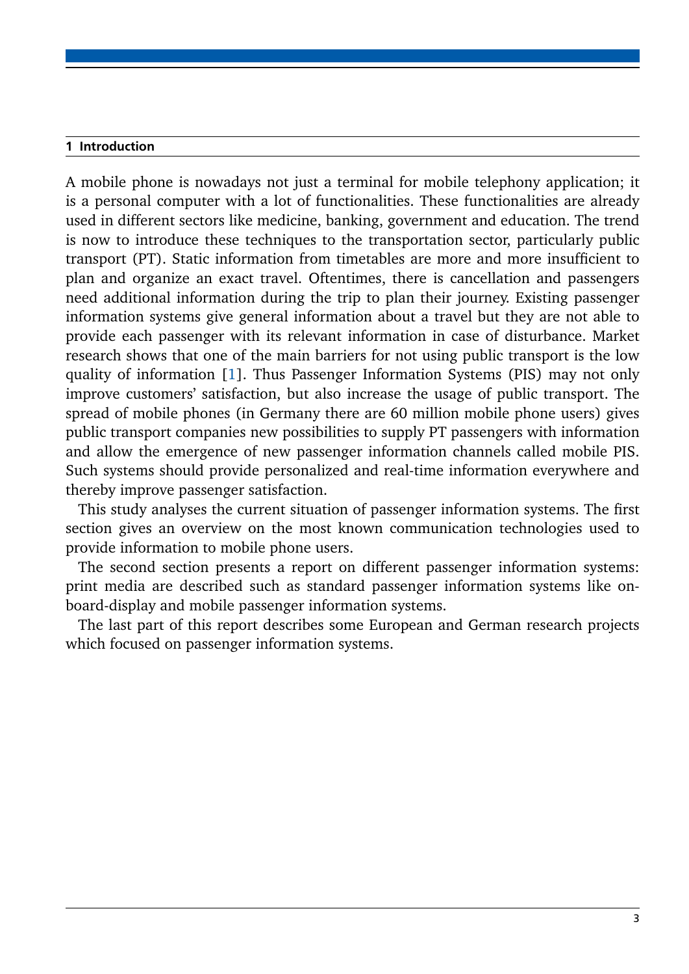#### <span id="page-6-0"></span>1 Introduction

A mobile phone is nowadays not just a terminal for mobile telephony application; it is a personal computer with a lot of functionalities. These functionalities are already used in different sectors like medicine, banking, government and education. The trend is now to introduce these techniques to the transportation sector, particularly public transport (PT). Static information from timetables are more and more insufficient to plan and organize an exact travel. Oftentimes, there is cancellation and passengers need additional information during the trip to plan their journey. Existing passenger information systems give general information about a travel but they are not able to provide each passenger with its relevant information in case of disturbance. Market research shows that one of the main barriers for not using public transport is the low quality of information [\[1\]](#page-36-0). Thus Passenger Information Systems (PIS) may not only improve customers' satisfaction, but also increase the usage of public transport. The spread of mobile phones (in Germany there are 60 million mobile phone users) gives public transport companies new possibilities to supply PT passengers with information and allow the emergence of new passenger information channels called mobile PIS. Such systems should provide personalized and real-time information everywhere and thereby improve passenger satisfaction.

This study analyses the current situation of passenger information systems. The first section gives an overview on the most known communication technologies used to provide information to mobile phone users.

The second section presents a report on different passenger information systems: print media are described such as standard passenger information systems like onboard-display and mobile passenger information systems.

The last part of this report describes some European and German research projects which focused on passenger information systems.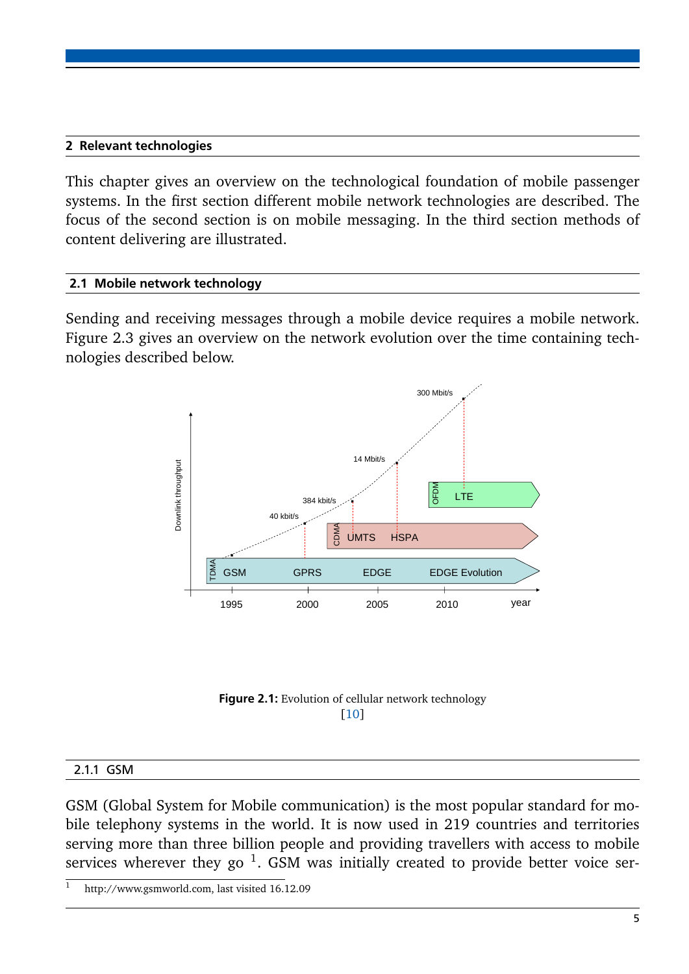## <span id="page-8-0"></span>2 Relevant technologies

This chapter gives an overview on the technological foundation of mobile passenger systems. In the first section different mobile network technologies are described. The focus of the second section is on mobile messaging. In the third section methods of content delivering are illustrated.

## <span id="page-8-1"></span>2.1 Mobile network technology

Sending and receiving messages through a mobile device requires a mobile network. Figure 2.3 gives an overview on the network evolution over the time containing technologies described below.





#### <span id="page-8-2"></span>2.1.1 GSM

GSM (Global System for Mobile communication) is the most popular standard for mobile telephony systems in the world. It is now used in 219 countries and territories serving more than three billion people and providing travellers with access to mobile services wherever they go  $^1$ . GSM was initially created to provide better voice ser-

http://www.gsmworld.com, last visited 16.12.09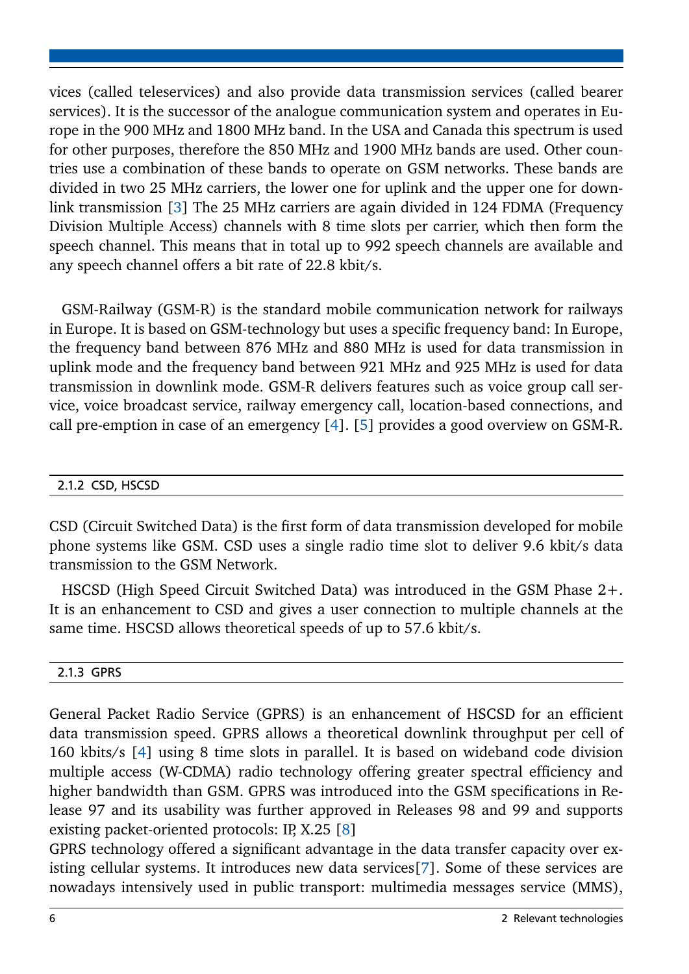vices (called teleservices) and also provide data transmission services (called bearer services). It is the successor of the analogue communication system and operates in Europe in the 900 MHz and 1800 MHz band. In the USA and Canada this spectrum is used for other purposes, therefore the 850 MHz and 1900 MHz bands are used. Other countries use a combination of these bands to operate on GSM networks. These bands are divided in two 25 MHz carriers, the lower one for uplink and the upper one for downlink transmission [\[3\]](#page-36-2) The 25 MHz carriers are again divided in 124 FDMA (Frequency Division Multiple Access) channels with 8 time slots per carrier, which then form the speech channel. This means that in total up to 992 speech channels are available and any speech channel offers a bit rate of 22.8 kbit/s.

GSM-Railway (GSM-R) is the standard mobile communication network for railways in Europe. It is based on GSM-technology but uses a specific frequency band: In Europe, the frequency band between 876 MHz and 880 MHz is used for data transmission in uplink mode and the frequency band between 921 MHz and 925 MHz is used for data transmission in downlink mode. GSM-R delivers features such as voice group call service, voice broadcast service, railway emergency call, location-based connections, and call pre-emption in case of an emergency [\[4\]](#page-36-3). [\[5\]](#page-36-4) provides a good overview on GSM-R.

## <span id="page-9-0"></span>2.1.2 CSD, HSCSD

CSD (Circuit Switched Data) is the first form of data transmission developed for mobile phone systems like GSM. CSD uses a single radio time slot to deliver 9.6 kbit/s data transmission to the GSM Network.

HSCSD (High Speed Circuit Switched Data) was introduced in the GSM Phase 2+. It is an enhancement to CSD and gives a user connection to multiple channels at the same time. HSCSD allows theoretical speeds of up to 57.6 kbit/s.

# <span id="page-9-1"></span>2.1.3 GPRS

General Packet Radio Service (GPRS) is an enhancement of HSCSD for an efficient data transmission speed. GPRS allows a theoretical downlink throughput per cell of 160 kbits/s [\[4\]](#page-36-3) using 8 time slots in parallel. It is based on wideband code division multiple access (W-CDMA) radio technology offering greater spectral efficiency and higher bandwidth than GSM. GPRS was introduced into the GSM specifications in Release 97 and its usability was further approved in Releases 98 and 99 and supports existing packet-oriented protocols: IP, X.25 [\[8\]](#page-36-5)

GPRS technology offered a significant advantage in the data transfer capacity over existing cellular systems. It introduces new data services[\[7\]](#page-36-6). Some of these services are nowadays intensively used in public transport: multimedia messages service (MMS),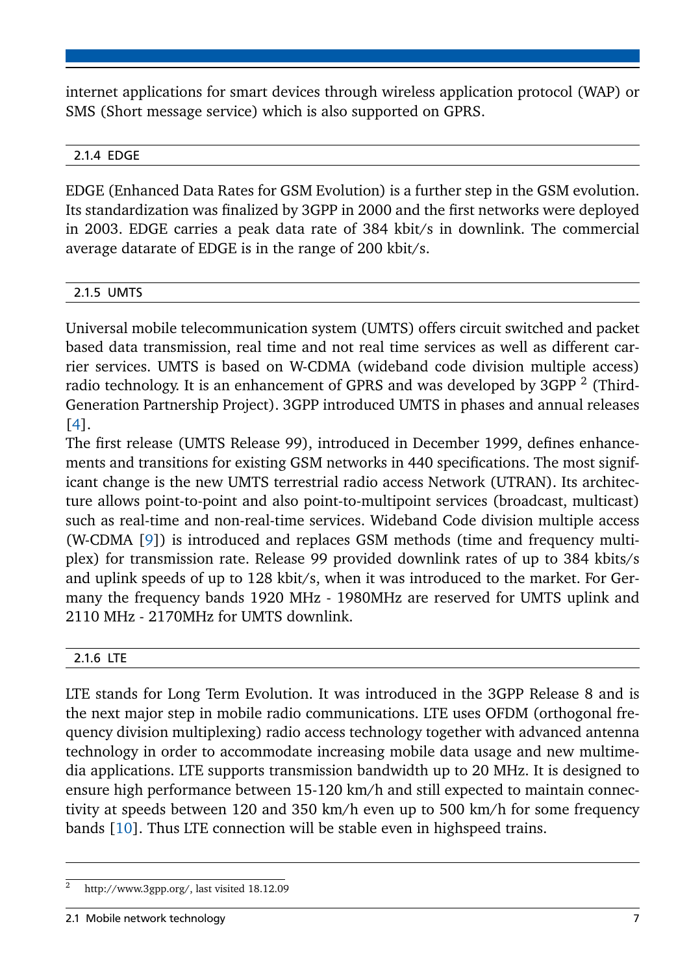internet applications for smart devices through wireless application protocol (WAP) or SMS (Short message service) which is also supported on GPRS.

# <span id="page-10-0"></span>2.1.4 EDGE

EDGE (Enhanced Data Rates for GSM Evolution) is a further step in the GSM evolution. Its standardization was finalized by 3GPP in 2000 and the first networks were deployed in 2003. EDGE carries a peak data rate of 384 kbit/s in downlink. The commercial average datarate of EDGE is in the range of 200 kbit/s.

# <span id="page-10-1"></span>2.1.5 UMTS

Universal mobile telecommunication system (UMTS) offers circuit switched and packet based data transmission, real time and not real time services as well as different carrier services. UMTS is based on W-CDMA (wideband code division multiple access) radio technology. It is an enhancement of GPRS and was developed by 3GPP  $^2$  (Third-Generation Partnership Project). 3GPP introduced UMTS in phases and annual releases [\[4\]](#page-36-3).

The first release (UMTS Release 99), introduced in December 1999, defines enhancements and transitions for existing GSM networks in 440 specifications. The most significant change is the new UMTS terrestrial radio access Network (UTRAN). Its architecture allows point-to-point and also point-to-multipoint services (broadcast, multicast) such as real-time and non-real-time services. Wideband Code division multiple access (W-CDMA [\[9\]](#page-36-7)) is introduced and replaces GSM methods (time and frequency multiplex) for transmission rate. Release 99 provided downlink rates of up to 384 kbits/s and uplink speeds of up to 128 kbit/s, when it was introduced to the market. For Germany the frequency bands 1920 MHz - 1980MHz are reserved for UMTS uplink and 2110 MHz - 2170MHz for UMTS downlink.

# <span id="page-10-2"></span>2.1.6 LTE

LTE stands for Long Term Evolution. It was introduced in the 3GPP Release 8 and is the next major step in mobile radio communications. LTE uses OFDM (orthogonal frequency division multiplexing) radio access technology together with advanced antenna technology in order to accommodate increasing mobile data usage and new multimedia applications. LTE supports transmission bandwidth up to 20 MHz. It is designed to ensure high performance between 15-120 km/h and still expected to maintain connectivity at speeds between 120 and 350 km/h even up to 500 km/h for some frequency bands [\[10\]](#page-36-1). Thus LTE connection will be stable even in highspeed trains.

<span id="page-10-3"></span><sup>2</sup> http://www.3gpp.org/, last visited 18.12.09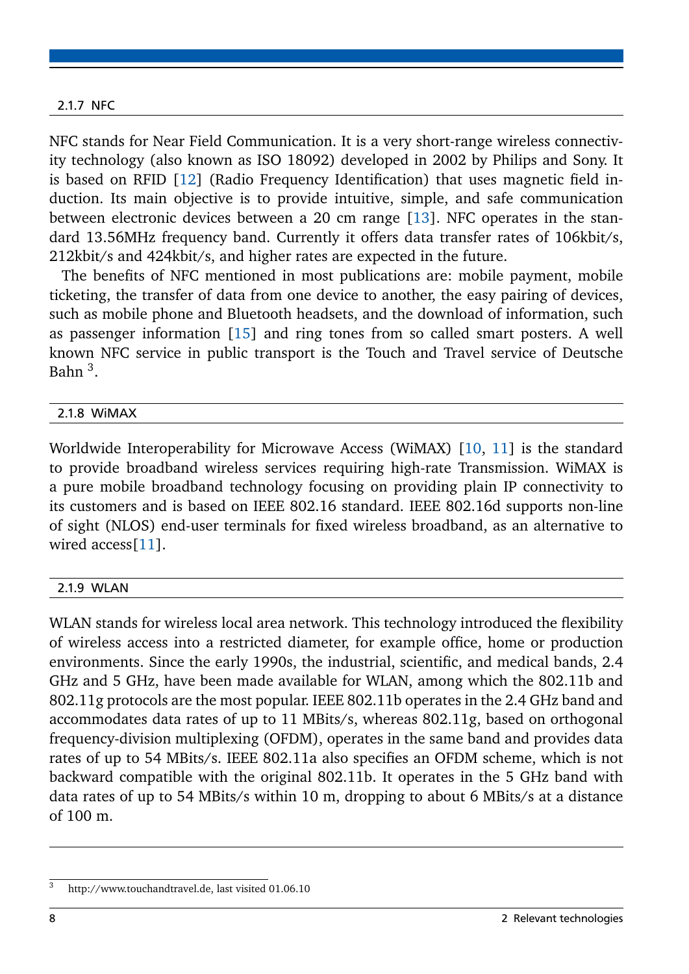#### 2.1.7 NFC

NFC stands for Near Field Communication. It is a very short-range wireless connectivity technology (also known as ISO 18092) developed in 2002 by Philips and Sony. It is based on RFID [\[12\]](#page-36-8) (Radio Frequency Identification) that uses magnetic field induction. Its main objective is to provide intuitive, simple, and safe communication between electronic devices between a 20 cm range [\[13\]](#page-37-0). NFC operates in the standard 13.56MHz frequency band. Currently it offers data transfer rates of 106kbit/s, 212kbit/s and 424kbit/s, and higher rates are expected in the future.

The benefits of NFC mentioned in most publications are: mobile payment, mobile ticketing, the transfer of data from one device to another, the easy pairing of devices, such as mobile phone and Bluetooth headsets, and the download of information, such as passenger information [\[15\]](#page-37-1) and ring tones from so called smart posters. A well known NFC service in public transport is the Touch and Travel service of Deutsche Bahn <sup>3</sup>.

#### <span id="page-11-0"></span>2.1.8 WiMAX

Worldwide Interoperability for Microwave Access (WiMAX) [\[10,](#page-36-1) [11\]](#page-36-9) is the standard to provide broadband wireless services requiring high-rate Transmission. WiMAX is a pure mobile broadband technology focusing on providing plain IP connectivity to its customers and is based on IEEE 802.16 standard. IEEE 802.16d supports non-line of sight (NLOS) end-user terminals for fixed wireless broadband, as an alternative to wired access<sup>[\[11\]](#page-36-9)</sup>.

#### <span id="page-11-1"></span>2.1.9 WLAN

WLAN stands for wireless local area network. This technology introduced the flexibility of wireless access into a restricted diameter, for example office, home or production environments. Since the early 1990s, the industrial, scientific, and medical bands, 2.4 GHz and 5 GHz, have been made available for WLAN, among which the 802.11b and 802.11g protocols are the most popular. IEEE 802.11b operates in the 2.4 GHz band and accommodates data rates of up to 11 MBits/s, whereas 802.11g, based on orthogonal frequency-division multiplexing (OFDM), operates in the same band and provides data rates of up to 54 MBits/s. IEEE 802.11a also specifies an OFDM scheme, which is not backward compatible with the original 802.11b. It operates in the 5 GHz band with data rates of up to 54 MBits/s within 10 m, dropping to about 6 MBits/s at a distance of 100 m.

<span id="page-11-2"></span><sup>3</sup> http://www.touchandtravel.de, last visited 01.06.10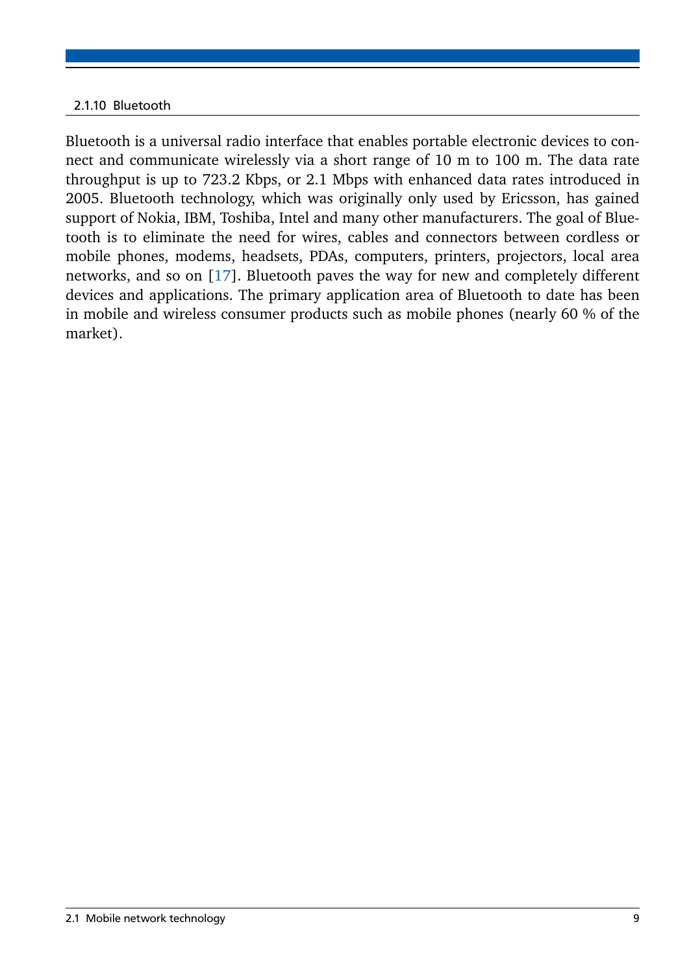## 2.1.10 Bluetooth

Bluetooth is a universal radio interface that enables portable electronic devices to connect and communicate wirelessly via a short range of 10 m to 100 m. The data rate throughput is up to 723.2 Kbps, or 2.1 Mbps with enhanced data rates introduced in 2005. Bluetooth technology, which was originally only used by Ericsson, has gained support of Nokia, IBM, Toshiba, Intel and many other manufacturers. The goal of Bluetooth is to eliminate the need for wires, cables and connectors between cordless or mobile phones, modems, headsets, PDAs, computers, printers, projectors, local area networks, and so on [\[17\]](#page-37-2). Bluetooth paves the way for new and completely different devices and applications. The primary application area of Bluetooth to date has been in mobile and wireless consumer products such as mobile phones (nearly 60 % of the market).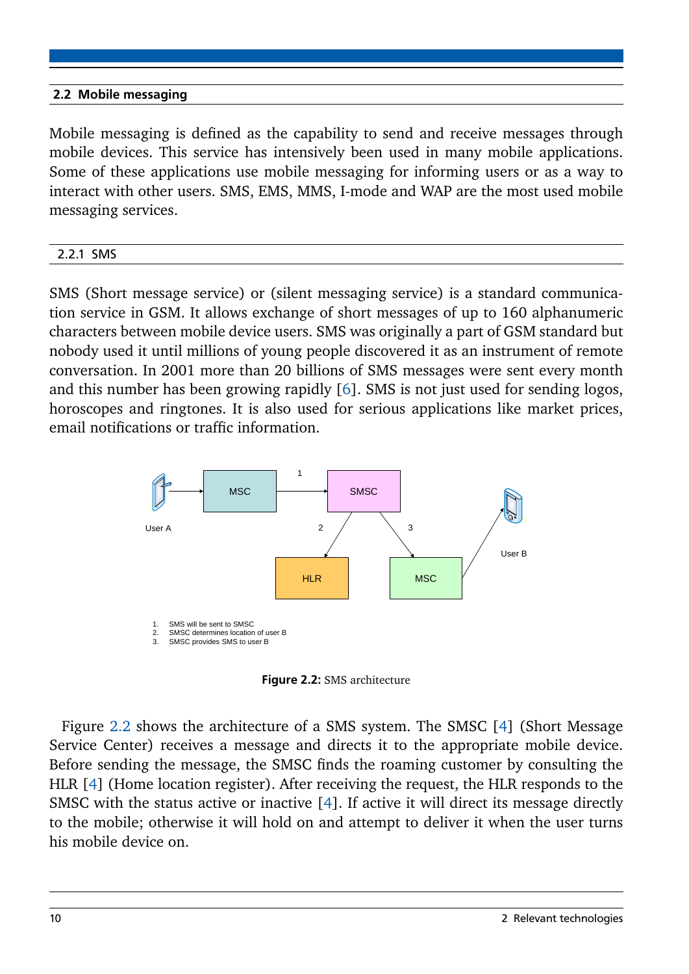# <span id="page-13-0"></span>2.2 Mobile messaging

Mobile messaging is defined as the capability to send and receive messages through mobile devices. This service has intensively been used in many mobile applications. Some of these applications use mobile messaging for informing users or as a way to interact with other users. SMS, EMS, MMS, I-mode and WAP are the most used mobile messaging services.

## <span id="page-13-1"></span>2.2.1 SMS

SMS (Short message service) or (silent messaging service) is a standard communication service in GSM. It allows exchange of short messages of up to 160 alphanumeric characters between mobile device users. SMS was originally a part of GSM standard but nobody used it until millions of young people discovered it as an instrument of remote conversation. In 2001 more than 20 billions of SMS messages were sent every month and this number has been growing rapidly [\[6\]](#page-36-10). SMS is not just used for sending logos, horoscopes and ringtones. It is also used for serious applications like market prices, email notifications or traffic information.

<span id="page-13-3"></span>

Figure 2.2: SMS architecture

<span id="page-13-2"></span>Figure [2.2](#page-13-3) shows the architecture of a SMS system. The SMSC [\[4\]](#page-36-3) (Short Message Service Center) receives a message and directs it to the appropriate mobile device. Before sending the message, the SMSC finds the roaming customer by consulting the HLR [\[4\]](#page-36-3) (Home location register). After receiving the request, the HLR responds to the SMSC with the status active or inactive [\[4\]](#page-36-3). If active it will direct its message directly to the mobile; otherwise it will hold on and attempt to deliver it when the user turns his mobile device on.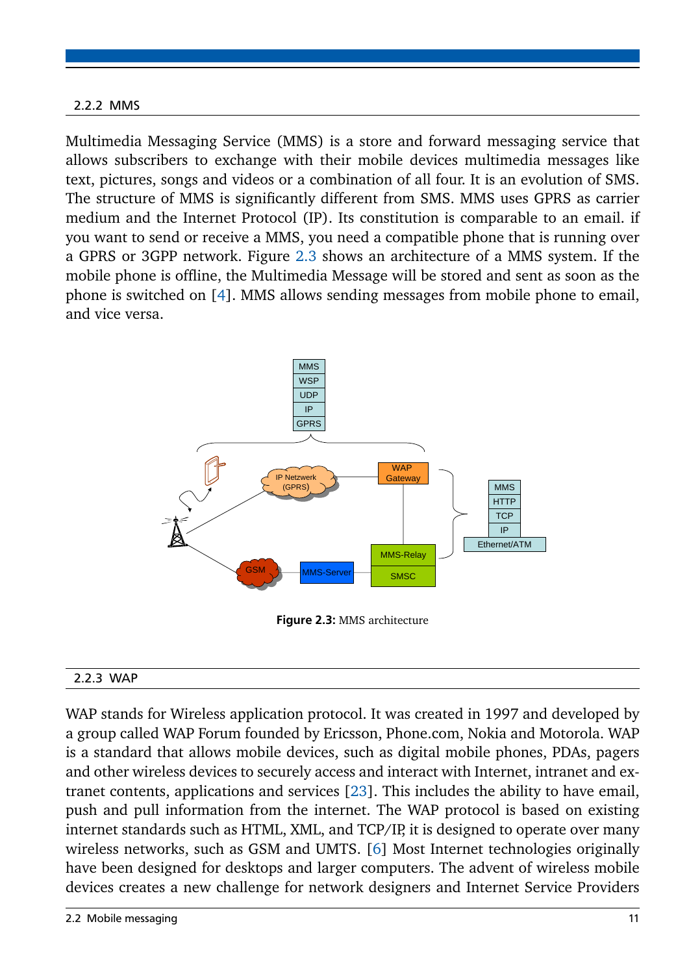# 2.2.2 MMS

Multimedia Messaging Service (MMS) is a store and forward messaging service that allows subscribers to exchange with their mobile devices multimedia messages like text, pictures, songs and videos or a combination of all four. It is an evolution of SMS. The structure of MMS is significantly different from SMS. MMS uses GPRS as carrier medium and the Internet Protocol (IP). Its constitution is comparable to an email. if you want to send or receive a MMS, you need a compatible phone that is running over a GPRS or 3GPP network. Figure [2.3](#page-14-1) shows an architecture of a MMS system. If the mobile phone is offline, the Multimedia Message will be stored and sent as soon as the phone is switched on [\[4\]](#page-36-3). MMS allows sending messages from mobile phone to email, and vice versa.

<span id="page-14-1"></span>

Figure 2.3: MMS architecture

# <span id="page-14-0"></span>2.2.3 WAP

WAP stands for Wireless application protocol. It was created in 1997 and developed by a group called WAP Forum founded by Ericsson, Phone.com, Nokia and Motorola. WAP is a standard that allows mobile devices, such as digital mobile phones, PDAs, pagers and other wireless devices to securely access and interact with Internet, intranet and extranet contents, applications and services [\[23\]](#page-37-3). This includes the ability to have email, push and pull information from the internet. The WAP protocol is based on existing internet standards such as HTML, XML, and TCP/IP, it is designed to operate over many wireless networks, such as GSM and UMTS. [\[6\]](#page-36-10) Most Internet technologies originally have been designed for desktops and larger computers. The advent of wireless mobile devices creates a new challenge for network designers and Internet Service Providers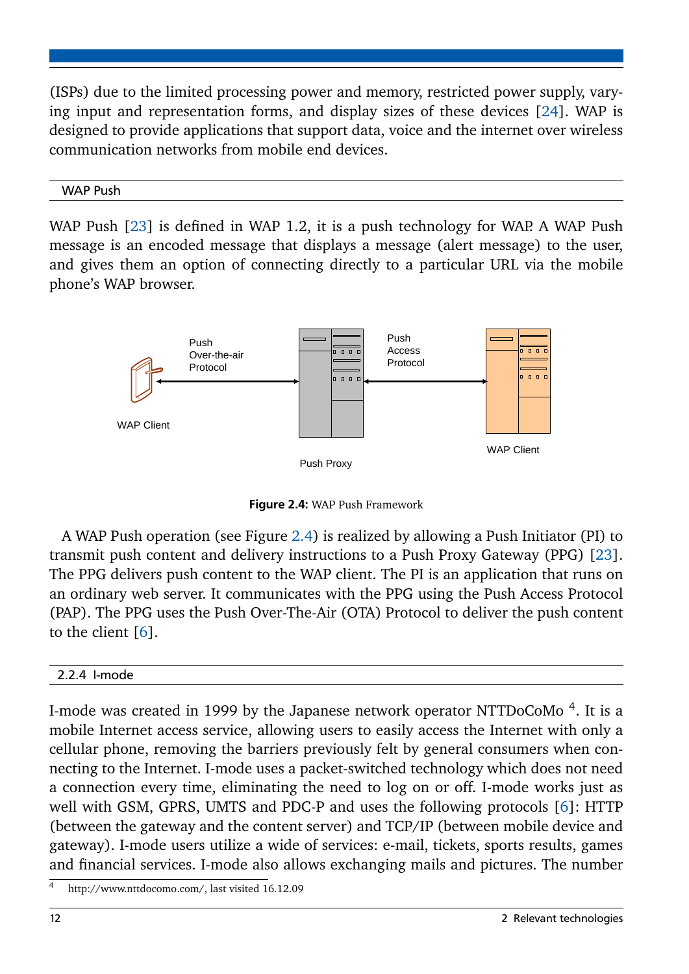(ISPs) due to the limited processing power and memory, restricted power supply, varying input and representation forms, and display sizes of these devices [\[24\]](#page-37-4). WAP is designed to provide applications that support data, voice and the internet over wireless communication networks from mobile end devices.

## WAP Push

WAP Push [\[23\]](#page-37-3) is defined in WAP 1.2, it is a push technology for WAP. A WAP Push message is an encoded message that displays a message (alert message) to the user, and gives them an option of connecting directly to a particular URL via the mobile phone's WAP browser.

<span id="page-15-1"></span>

Figure 2.4: WAP Push Framework

A WAP Push operation (see Figure [2.4\)](#page-15-1) is realized by allowing a Push Initiator (PI) to transmit push content and delivery instructions to a Push Proxy Gateway (PPG) [\[23\]](#page-37-3). The PPG delivers push content to the WAP client. The PI is an application that runs on an ordinary web server. It communicates with the PPG using the Push Access Protocol (PAP). The PPG uses the Push Over-The-Air (OTA) Protocol to deliver the push content to the client [\[6\]](#page-36-10).

# <span id="page-15-0"></span>2.2.4 I-mode

I-mode was created in 1999 by the Japanese network operator NTTDoCoMo  $^4$ . It is a mobile Internet access service, allowing users to easily access the Internet with only a cellular phone, removing the barriers previously felt by general consumers when connecting to the Internet. I-mode uses a packet-switched technology which does not need a connection every time, eliminating the need to log on or off. I-mode works just as well with GSM, GPRS, UMTS and PDC-P and uses the following protocols [\[6\]](#page-36-10): HTTP (between the gateway and the content server) and TCP/IP (between mobile device and gateway). I-mode users utilize a wide of services: e-mail, tickets, sports results, games and financial services. I-mode also allows exchanging mails and pictures. The number

http://www.nttdocomo.com/, last visited 16.12.09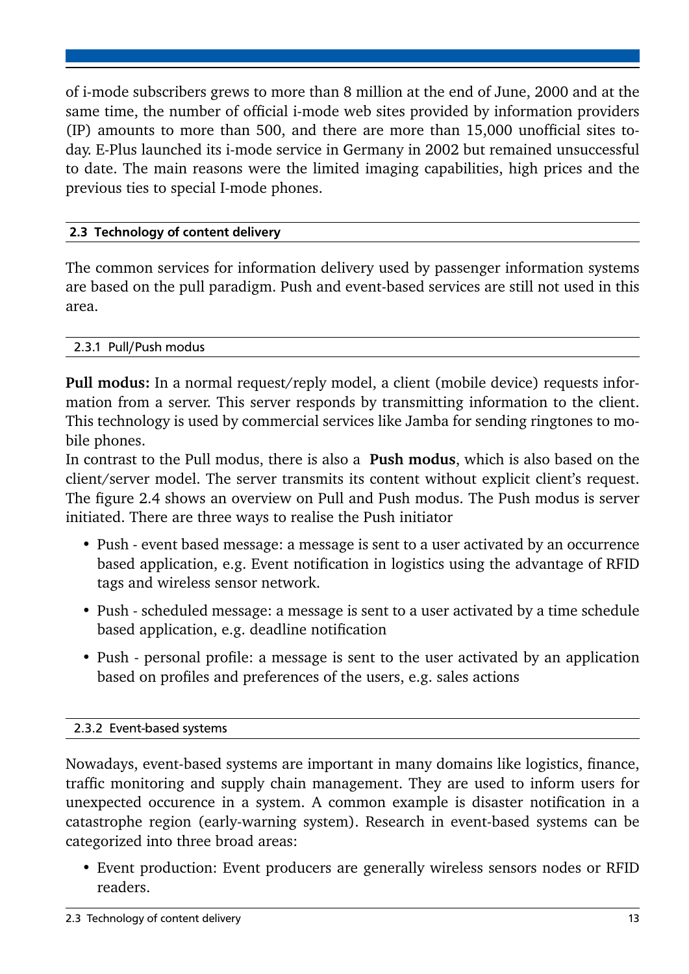of i-mode subscribers grews to more than 8 million at the end of June, 2000 and at the same time, the number of official i-mode web sites provided by information providers (IP) amounts to more than 500, and there are more than 15,000 unofficial sites today. E-Plus launched its i-mode service in Germany in 2002 but remained unsuccessful to date. The main reasons were the limited imaging capabilities, high prices and the previous ties to special I-mode phones.

# <span id="page-16-0"></span>2.3 Technology of content delivery

The common services for information delivery used by passenger information systems are based on the pull paradigm. Push and event-based services are still not used in this area.

# <span id="page-16-1"></span>2.3.1 Pull/Push modus

**Pull modus:** In a normal request/reply model, a client (mobile device) requests information from a server. This server responds by transmitting information to the client. This technology is used by commercial services like Jamba for sending ringtones to mobile phones.

In contrast to the Pull modus, there is also a **Push modus**, which is also based on the client/server model. The server transmits its content without explicit client's request. The figure 2.4 shows an overview on Pull and Push modus. The Push modus is server initiated. There are three ways to realise the Push initiator

- Push event based message: a message is sent to a user activated by an occurrence based application, e.g. Event notification in logistics using the advantage of RFID tags and wireless sensor network.
- Push scheduled message: a message is sent to a user activated by a time schedule based application, e.g. deadline notification
- Push personal profile: a message is sent to the user activated by an application based on profiles and preferences of the users, e.g. sales actions

# <span id="page-16-2"></span>2.3.2 Event-based systems

Nowadays, event-based systems are important in many domains like logistics, finance, traffic monitoring and supply chain management. They are used to inform users for unexpected occurence in a system. A common example is disaster notification in a catastrophe region (early-warning system). Research in event-based systems can be categorized into three broad areas:

• Event production: Event producers are generally wireless sensors nodes or RFID readers.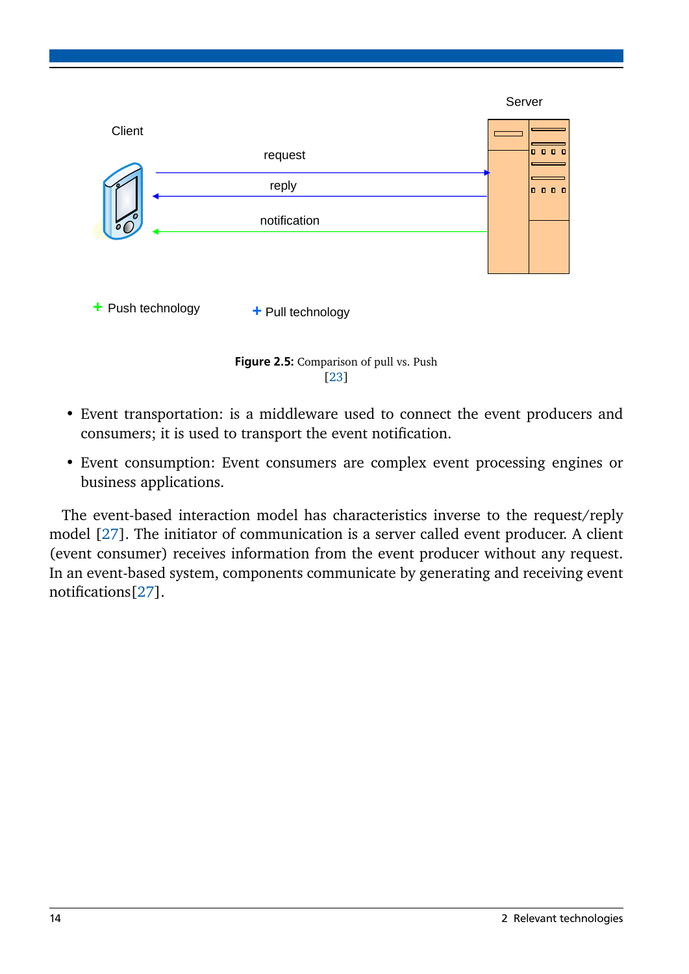

Figure 2.5: Comparison of pull vs. Push [\[23\]](#page-37-3)

- Event transportation: is a middleware used to connect the event producers and consumers; it is used to transport the event notification.
- Event consumption: Event consumers are complex event processing engines or business applications.

The event-based interaction model has characteristics inverse to the request/reply model [\[27\]](#page-37-5). The initiator of communication is a server called event producer. A client (event consumer) receives information from the event producer without any request. In an event-based system, components communicate by generating and receiving event notifications[\[27\]](#page-37-5).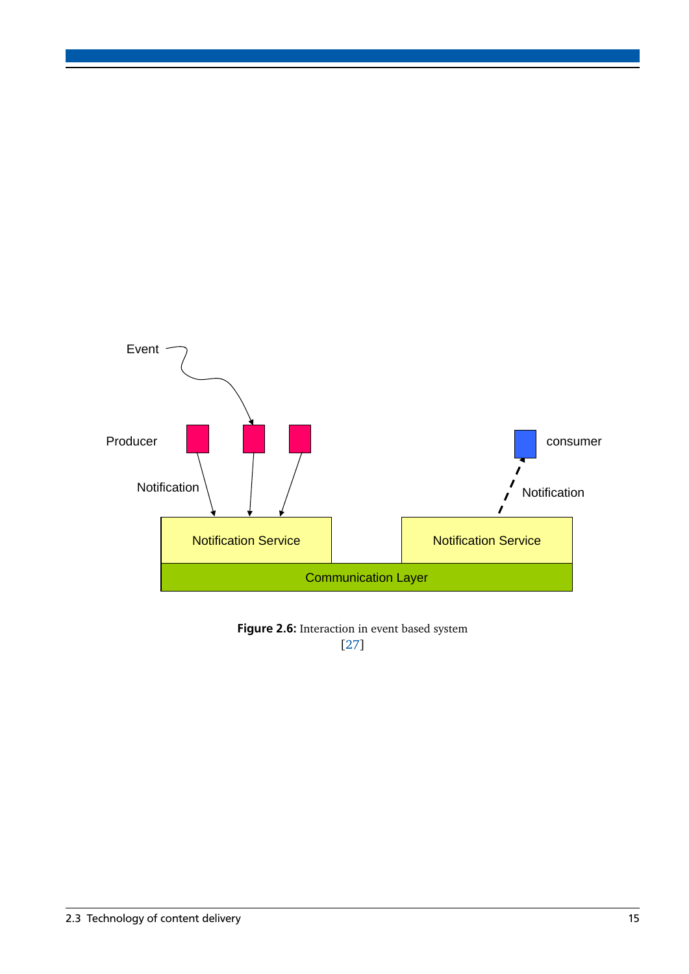

Figure 2.6: Interaction in event based system [\[27\]](#page-37-5)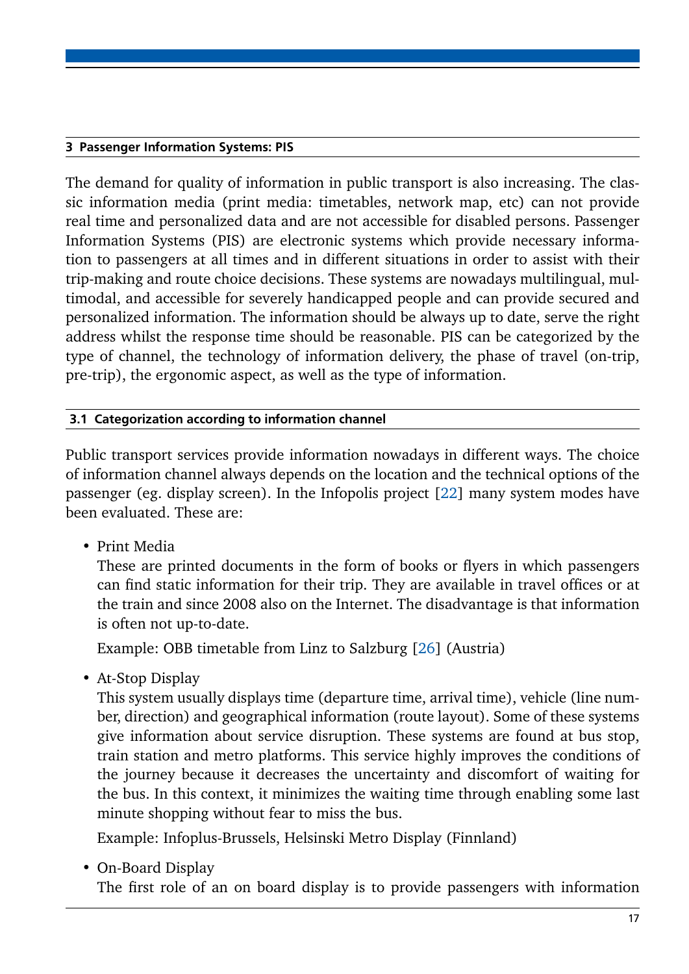# <span id="page-20-0"></span>3 Passenger Information Systems: PIS

The demand for quality of information in public transport is also increasing. The classic information media (print media: timetables, network map, etc) can not provide real time and personalized data and are not accessible for disabled persons. Passenger Information Systems (PIS) are electronic systems which provide necessary information to passengers at all times and in different situations in order to assist with their trip-making and route choice decisions. These systems are nowadays multilingual, multimodal, and accessible for severely handicapped people and can provide secured and personalized information. The information should be always up to date, serve the right address whilst the response time should be reasonable. PIS can be categorized by the type of channel, the technology of information delivery, the phase of travel (on-trip, pre-trip), the ergonomic aspect, as well as the type of information.

# <span id="page-20-1"></span>3.1 Categorization according to information channel

Public transport services provide information nowadays in different ways. The choice of information channel always depends on the location and the technical options of the passenger (eg. display screen). In the Infopolis project [\[22\]](#page-37-6) many system modes have been evaluated. These are:

• Print Media

These are printed documents in the form of books or flyers in which passengers can find static information for their trip. They are available in travel offices or at the train and since 2008 also on the Internet. The disadvantage is that information is often not up-to-date.

Example: OBB timetable from Linz to Salzburg [\[26\]](#page-37-7) (Austria)

• At-Stop Display

This system usually displays time (departure time, arrival time), vehicle (line number, direction) and geographical information (route layout). Some of these systems give information about service disruption. These systems are found at bus stop, train station and metro platforms. This service highly improves the conditions of the journey because it decreases the uncertainty and discomfort of waiting for the bus. In this context, it minimizes the waiting time through enabling some last minute shopping without fear to miss the bus.

Example: Infoplus-Brussels, Helsinski Metro Display (Finnland)

• On-Board Display

The first role of an on board display is to provide passengers with information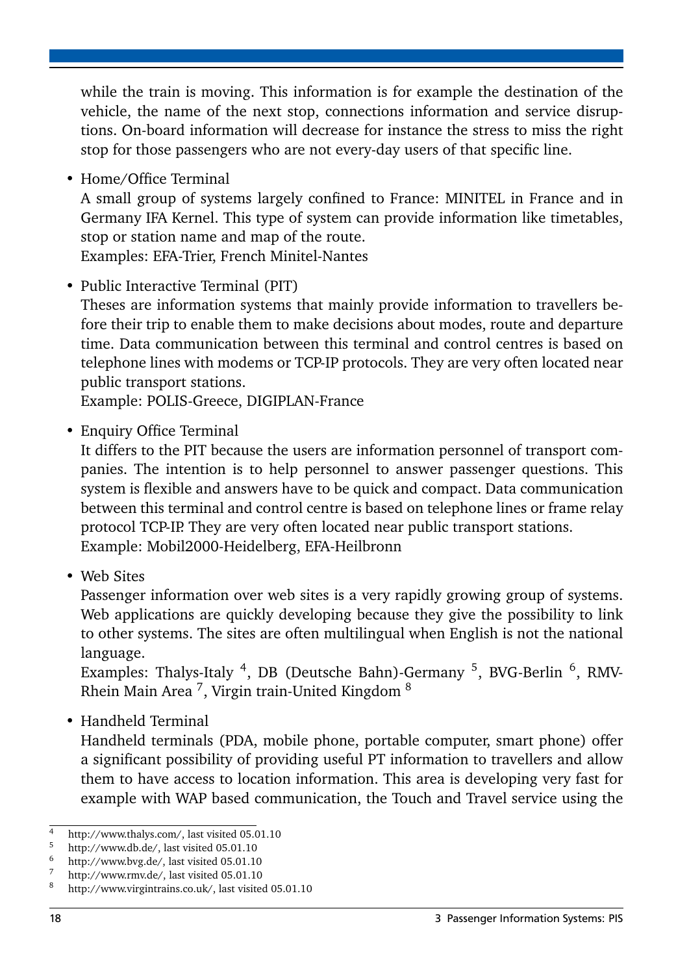while the train is moving. This information is for example the destination of the vehicle, the name of the next stop, connections information and service disruptions. On-board information will decrease for instance the stress to miss the right stop for those passengers who are not every-day users of that specific line.

• Home/Office Terminal

A small group of systems largely confined to France: MINITEL in France and in Germany IFA Kernel. This type of system can provide information like timetables, stop or station name and map of the route.

Examples: EFA-Trier, French Minitel-Nantes

• Public Interactive Terminal (PIT)

Theses are information systems that mainly provide information to travellers before their trip to enable them to make decisions about modes, route and departure time. Data communication between this terminal and control centres is based on telephone lines with modems or TCP-IP protocols. They are very often located near public transport stations.

Example: POLIS-Greece, DIGIPLAN-France

• Enquiry Office Terminal

It differs to the PIT because the users are information personnel of transport companies. The intention is to help personnel to answer passenger questions. This system is flexible and answers have to be quick and compact. Data communication between this terminal and control centre is based on telephone lines or frame relay protocol TCP-IP. They are very often located near public transport stations. Example: Mobil2000-Heidelberg, EFA-Heilbronn

• Web Sites

Passenger information over web sites is a very rapidly growing group of systems. Web applications are quickly developing because they give the possibility to link to other systems. The sites are often multilingual when English is not the national language.

Examples: Thalys-Italy <sup>4</sup>, DB (Deutsche Bahn)-Germany <sup>5</sup>, BVG-Berlin <sup>6</sup>, RMV-Rhein Main Area  $^7$ , Virgin train-United Kingdom  $^8$ 

• Handheld Terminal

Handheld terminals (PDA, mobile phone, portable computer, smart phone) offer a significant possibility of providing useful PT information to travellers and allow them to have access to location information. This area is developing very fast for example with WAP based communication, the Touch and Travel service using the

<sup>&</sup>lt;sup>4</sup> http://www.thalys.com/, last visited 05.01.10<br> $\frac{5}{2}$  http://www.thalys.com/, last visited 05.01.10

 $\frac{5}{6}$  http://www.db.de/, last visited 05.01.10

 $^{6}$  http://www.bvg.de/, last visited 05.01.10

 $\frac{7}{8}$  http://www.rmv.de/, last visited 05.01.10

http://www.virgintrains.co.uk/, last visited 05.01.10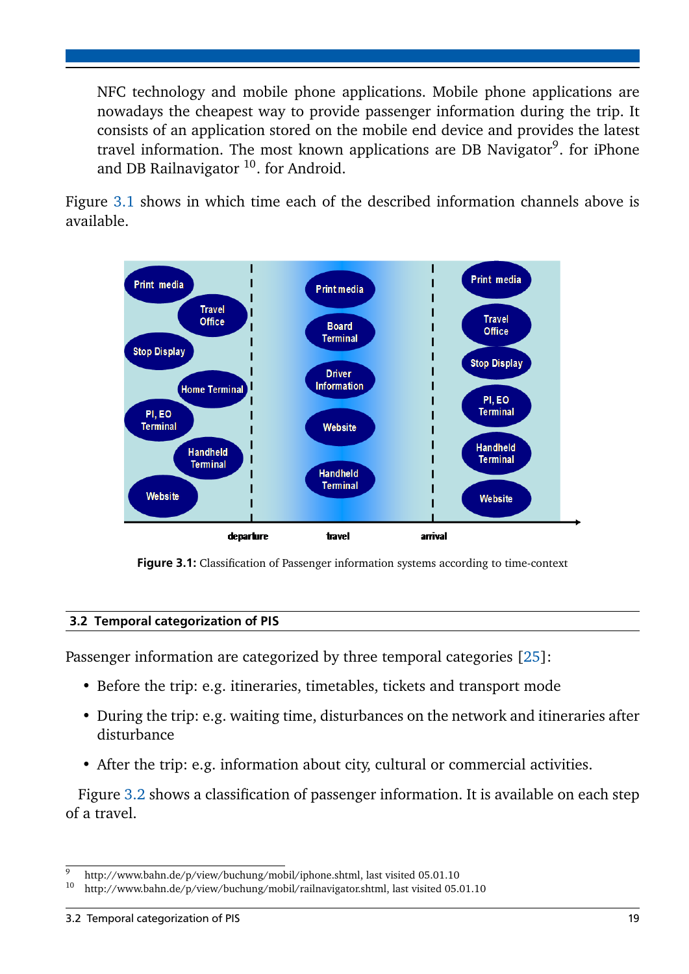NFC technology and mobile phone applications. Mobile phone applications are nowadays the cheapest way to provide passenger information during the trip. It consists of an application stored on the mobile end device and provides the latest travel information. The most known applications are DB Navigator<sup>9</sup>. for iPhone and DB Railnavigator  $10$ . for Android.

Figure [3.1](#page-22-1) shows in which time each of the described information channels above is available.

<span id="page-22-1"></span>

Figure 3.1: Classification of Passenger information systems according to time-context

# <span id="page-22-0"></span>3.2 Temporal categorization of PIS

Passenger information are categorized by three temporal categories [\[25\]](#page-37-8):

- Before the trip: e.g. itineraries, timetables, tickets and transport mode
- During the trip: e.g. waiting time, disturbances on the network and itineraries after disturbance
- After the trip: e.g. information about city, cultural or commercial activities.

Figure [3.2](#page-23-2) shows a classification of passenger information. It is available on each step of a travel.

 $\frac{9}{10}$  http://www.bahn.de/p/view/buchung/mobil/iphone.shtml, last visited 05.01.10<br> $\frac{10}{10}$  http://www.bahn.de/p/view/buchung/mobil/railnayigator.shtml\_last visited 05.

<sup>10</sup> http://www.bahn.de/p/view/buchung/mobil/railnavigator.shtml, last visited 05.01.10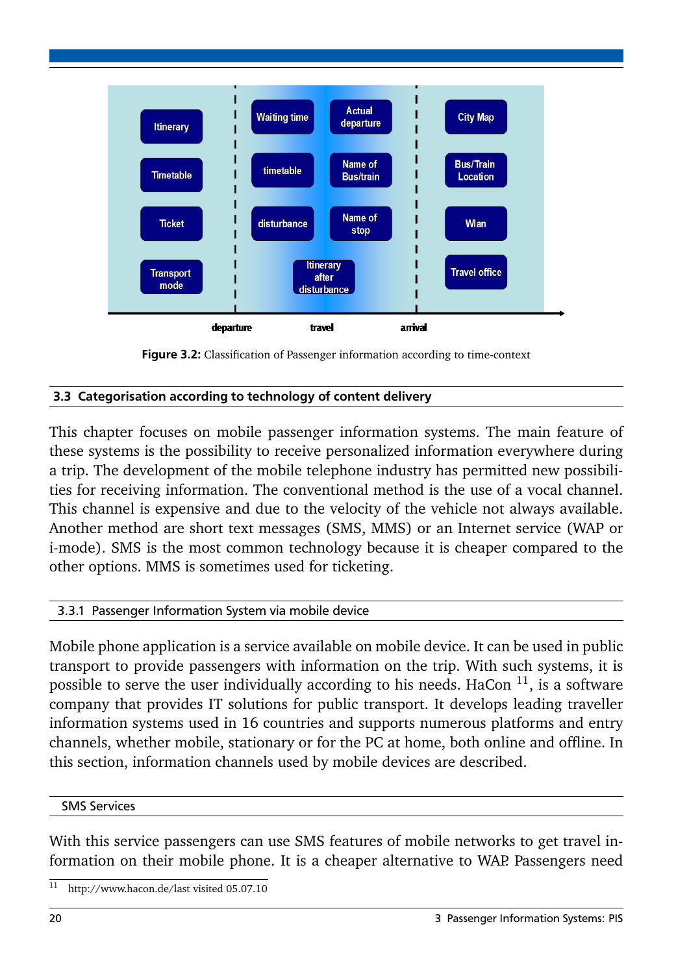<span id="page-23-2"></span>



# <span id="page-23-0"></span>3.3 Categorisation according to technology of content delivery

This chapter focuses on mobile passenger information systems. The main feature of these systems is the possibility to receive personalized information everywhere during a trip. The development of the mobile telephone industry has permitted new possibilities for receiving information. The conventional method is the use of a vocal channel. This channel is expensive and due to the velocity of the vehicle not always available. Another method are short text messages (SMS, MMS) or an Internet service (WAP or i-mode). SMS is the most common technology because it is cheaper compared to the other options. MMS is sometimes used for ticketing.

# <span id="page-23-1"></span>3.3.1 Passenger Information System via mobile device

Mobile phone application is a service available on mobile device. It can be used in public transport to provide passengers with information on the trip. With such systems, it is possible to serve the user individually according to his needs. HaCon  $11$ , is a software company that provides IT solutions for public transport. It develops leading traveller information systems used in 16 countries and supports numerous platforms and entry channels, whether mobile, stationary or for the PC at home, both online and offline. In this section, information channels used by mobile devices are described.

# SMS Services

With this service passengers can use SMS features of mobile networks to get travel information on their mobile phone. It is a cheaper alternative to WAP. Passengers need

<sup>11</sup> http://www.hacon.de/last visited 05.07.10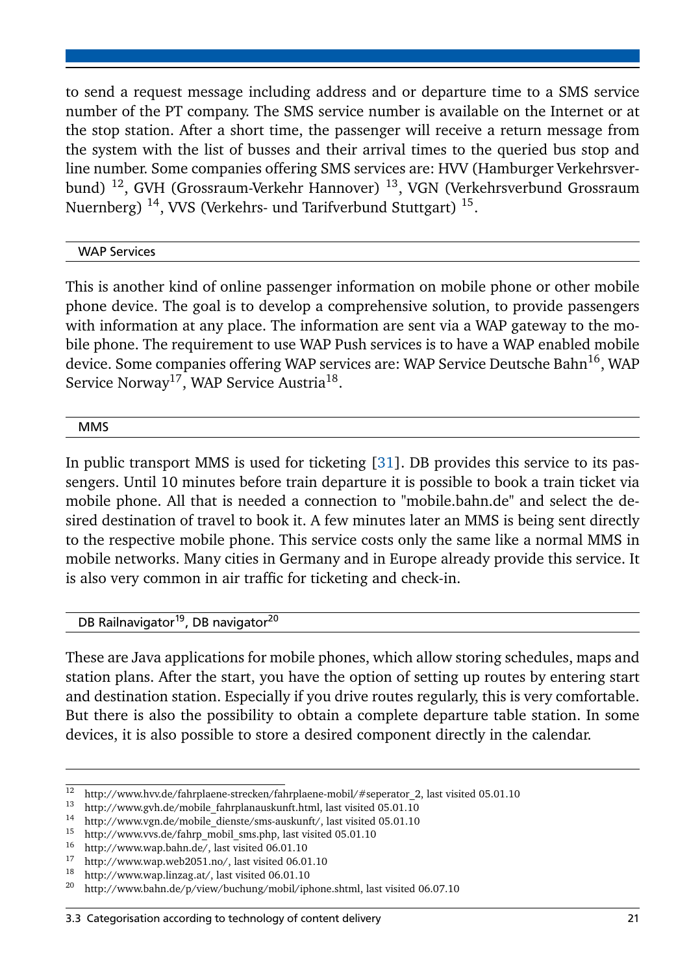to send a request message including address and or departure time to a SMS service number of the PT company. The SMS service number is available on the Internet or at the stop station. After a short time, the passenger will receive a return message from the system with the list of busses and their arrival times to the queried bus stop and line number. Some companies offering SMS services are: HVV (Hamburger Verkehrsverbund) <sup>12</sup>, GVH (Grossraum-Verkehr Hannover) <sup>13</sup>, VGN (Verkehrsverbund Grossraum Nuernberg) <sup>14</sup>, VVS (Verkehrs- und Tarifverbund Stuttgart) <sup>15</sup>.

# WAP Services

This is another kind of online passenger information on mobile phone or other mobile phone device. The goal is to develop a comprehensive solution, to provide passengers with information at any place. The information are sent via a WAP gateway to the mobile phone. The requirement to use WAP Push services is to have a WAP enabled mobile device. Some companies offering WAP services are: WAP Service Deutsche Bahn<sup>16</sup>, WAP Service Norway<sup>17</sup>, WAP Service Austria<sup>18</sup>.

**MMS** 

In public transport MMS is used for ticketing [\[31\]](#page-38-0). DB provides this service to its passengers. Until 10 minutes before train departure it is possible to book a train ticket via mobile phone. All that is needed a connection to "mobile.bahn.de" and select the desired destination of travel to book it. A few minutes later an MMS is being sent directly to the respective mobile phone. This service costs only the same like a normal MMS in mobile networks. Many cities in Germany and in Europe already provide this service. It is also very common in air traffic for ticketing and check-in.

DB Railnavigator<sup>19</sup>, DB navigator<sup>20</sup>

These are Java applications for mobile phones, which allow storing schedules, maps and station plans. After the start, you have the option of setting up routes by entering start and destination station. Especially if you drive routes regularly, this is very comfortable. But there is also the possibility to obtain a complete departure table station. In some devices, it is also possible to store a desired component directly in the calendar.

<sup>&</sup>lt;sup>12</sup> http://www.hvv.de/fahrplaene-strecken/fahrplaene-mobil/#seperator\_2, last visited 05.01.10<br><sup>13</sup> http://www.grb.de/mobile\_fahrplaneuckunft\_html\_last visited 05.01.10

<sup>&</sup>lt;sup>13</sup> http://www.gvh.de/mobile\_fahrplanauskunft.html, last visited 05.01.10<br><sup>14</sup> http://www.gvh.de/mobile\_dianste/sme\_auskunft/\_last visited 05.01.10

http://www.vgn.de/mobile\_dienste/sms-auskunft/, last visited 05.01.10

<sup>&</sup>lt;sup>15</sup> http://www.vvs.de/fahrp\_mobil\_sms.php, last visited 05.01.10

http://www.wap.bahn.de/, last visited 06.01.10

<sup>&</sup>lt;sup>17</sup> http://www.wap.web2051.no/, last visited 06.01.10<br><sup>18</sup> http://www.wap.web2051.no/, last visited 06.01.10

<sup>&</sup>lt;sup>18</sup> http://www.wap.linzag.at/, last visited 06.01.10<sup>20</sup> http://www.bahn.de/p/view/buchung/mobil/inl

<sup>20</sup> http://www.bahn.de/p/view/buchung/mobil/iphone.shtml, last visited 06.07.10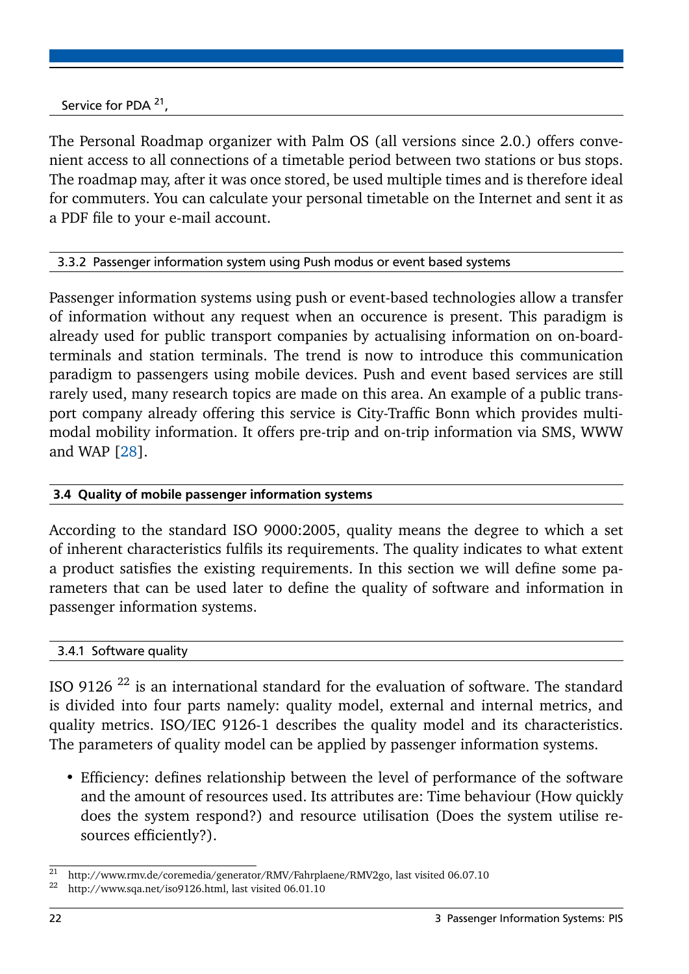Service for PDA<sup>21</sup>,

The Personal Roadmap organizer with Palm OS (all versions since 2.0.) offers convenient access to all connections of a timetable period between two stations or bus stops. The roadmap may, after it was once stored, be used multiple times and is therefore ideal for commuters. You can calculate your personal timetable on the Internet and sent it as a PDF file to your e-mail account.

# <span id="page-25-0"></span>3.3.2 Passenger information system using Push modus or event based systems

Passenger information systems using push or event-based technologies allow a transfer of information without any request when an occurence is present. This paradigm is already used for public transport companies by actualising information on on-boardterminals and station terminals. The trend is now to introduce this communication paradigm to passengers using mobile devices. Push and event based services are still rarely used, many research topics are made on this area. An example of a public transport company already offering this service is City-Traffic Bonn which provides multimodal mobility information. It offers pre-trip and on-trip information via SMS, WWW and WAP [\[28\]](#page-37-9).

# <span id="page-25-1"></span>3.4 Quality of mobile passenger information systems

According to the standard ISO 9000:2005, quality means the degree to which a set of inherent characteristics fulfils its requirements. The quality indicates to what extent a product satisfies the existing requirements. In this section we will define some parameters that can be used later to define the quality of software and information in passenger information systems.

#### <span id="page-25-2"></span>3.4.1 Software quality

ISO 9126 <sup>22</sup> is an international standard for the evaluation of software. The standard is divided into four parts namely: quality model, external and internal metrics, and quality metrics. ISO/IEC 9126-1 describes the quality model and its characteristics. The parameters of quality model can be applied by passenger information systems.

• Efficiency: defines relationship between the level of performance of the software and the amount of resources used. Its attributes are: Time behaviour (How quickly does the system respond?) and resource utilisation (Does the system utilise resources efficiently?).

<sup>&</sup>lt;sup>21</sup> http://www.rmv.de/coremedia/generator/RMV/Fahrplaene/RMV2go, last visited 06.07.10

http://www.sqa.net/iso9126.html, last visited 06.01.10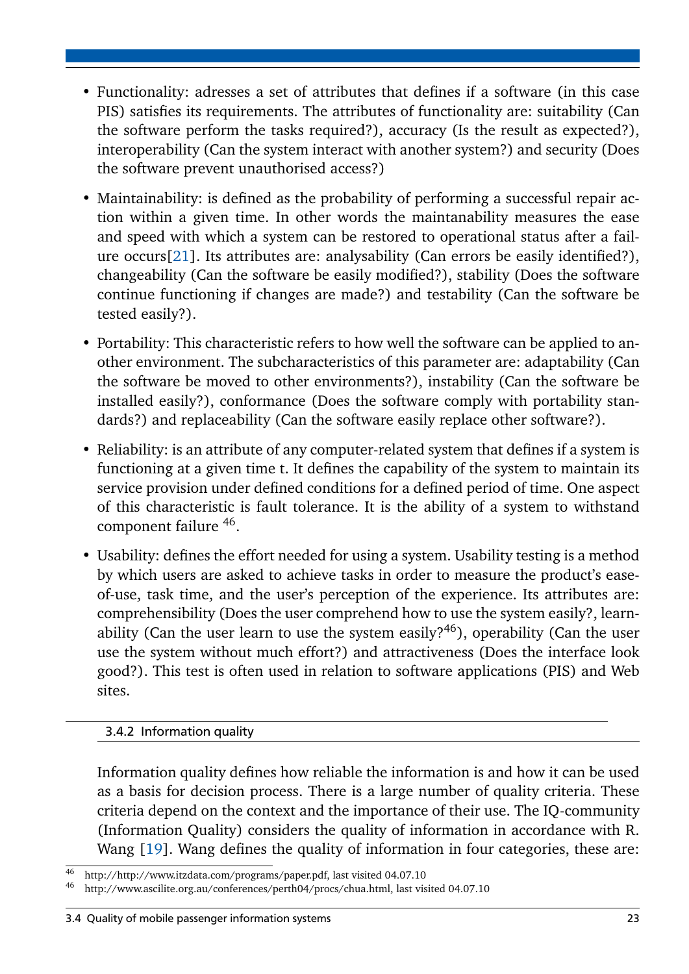- Functionality: adresses a set of attributes that defines if a software (in this case PIS) satisfies its requirements. The attributes of functionality are: suitability (Can the software perform the tasks required?), accuracy (Is the result as expected?), interoperability (Can the system interact with another system?) and security (Does the software prevent unauthorised access?)
- Maintainability: is defined as the probability of performing a successful repair action within a given time. In other words the maintanability measures the ease and speed with which a system can be restored to operational status after a failure occurs[\[21\]](#page-37-10). Its attributes are: analysability (Can errors be easily identified?), changeability (Can the software be easily modified?), stability (Does the software continue functioning if changes are made?) and testability (Can the software be tested easily?).
- Portability: This characteristic refers to how well the software can be applied to another environment. The subcharacteristics of this parameter are: adaptability (Can the software be moved to other environments?), instability (Can the software be installed easily?), conformance (Does the software comply with portability standards?) and replaceability (Can the software easily replace other software?).
- Reliability: is an attribute of any computer-related system that defines if a system is functioning at a given time t. It defines the capability of the system to maintain its service provision under defined conditions for a defined period of time. One aspect of this characteristic is fault tolerance. It is the ability of a system to withstand component failure <sup>46</sup>.
- Usability: defines the effort needed for using a system. Usability testing is a method by which users are asked to achieve tasks in order to measure the product's easeof-use, task time, and the user's perception of the experience. Its attributes are: comprehensibility (Does the user comprehend how to use the system easily?, learnability (Can the user learn to use the system easily?<sup>46</sup>), operability (Can the user use the system without much effort?) and attractiveness (Does the interface look good?). This test is often used in relation to software applications (PIS) and Web sites.

# <span id="page-26-0"></span>3.4.2 Information quality

Information quality defines how reliable the information is and how it can be used as a basis for decision process. There is a large number of quality criteria. These criteria depend on the context and the importance of their use. The IQ-community (Information Quality) considers the quality of information in accordance with R. Wang [\[19\]](#page-37-11). Wang defines the quality of information in four categories, these are:

<sup>46</sup> http://http://www.itzdata.com/programs/paper.pdf, last visited 04.07.10

<sup>46</sup> http://www.ascilite.org.au/conferences/perth04/procs/chua.html, last visited 04.07.10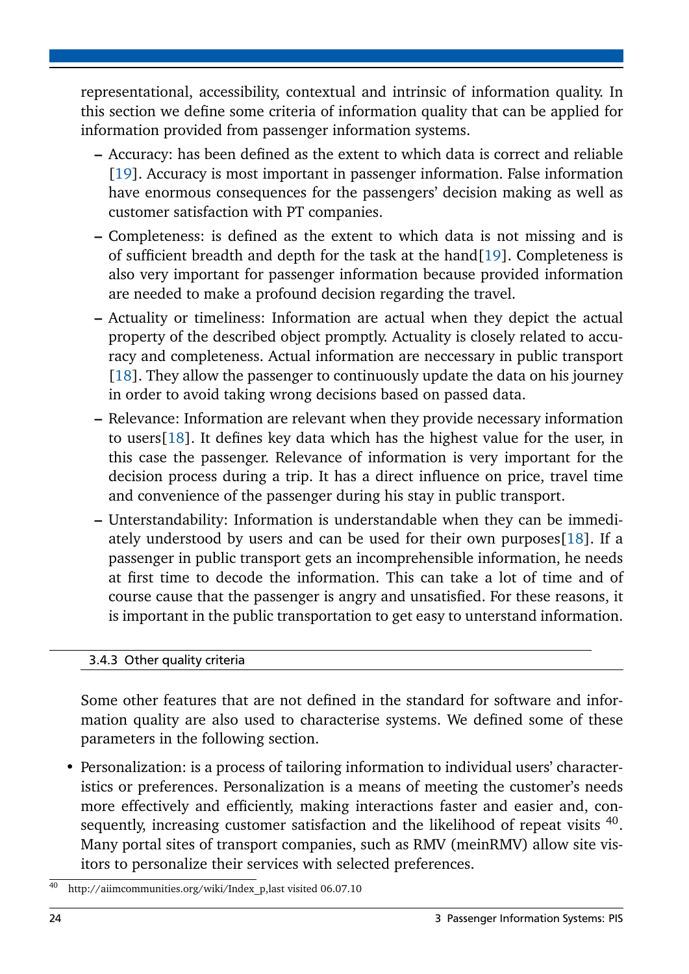representational, accessibility, contextual and intrinsic of information quality. In this section we define some criteria of information quality that can be applied for information provided from passenger information systems.

- **–** Accuracy: has been defined as the extent to which data is correct and reliable [\[19\]](#page-37-11). Accuracy is most important in passenger information. False information have enormous consequences for the passengers' decision making as well as customer satisfaction with PT companies.
- **–** Completeness: is defined as the extent to which data is not missing and is of sufficient breadth and depth for the task at the hand[\[19\]](#page-37-11). Completeness is also very important for passenger information because provided information are needed to make a profound decision regarding the travel.
- **–** Actuality or timeliness: Information are actual when they depict the actual property of the described object promptly. Actuality is closely related to accuracy and completeness. Actual information are neccessary in public transport [\[18\]](#page-37-12). They allow the passenger to continuously update the data on his journey in order to avoid taking wrong decisions based on passed data.
- **–** Relevance: Information are relevant when they provide necessary information to users[\[18\]](#page-37-12). It defines key data which has the highest value for the user, in this case the passenger. Relevance of information is very important for the decision process during a trip. It has a direct influence on price, travel time and convenience of the passenger during his stay in public transport.
- **–** Unterstandability: Information is understandable when they can be immediately understood by users and can be used for their own purposes[\[18\]](#page-37-12). If a passenger in public transport gets an incomprehensible information, he needs at first time to decode the information. This can take a lot of time and of course cause that the passenger is angry and unsatisfied. For these reasons, it is important in the public transportation to get easy to unterstand information.

# <span id="page-27-0"></span>3.4.3 Other quality criteria

Some other features that are not defined in the standard for software and information quality are also used to characterise systems. We defined some of these parameters in the following section.

• Personalization: is a process of tailoring information to individual users' characteristics or preferences. Personalization is a means of meeting the customer's needs more effectively and efficiently, making interactions faster and easier and, consequently, increasing customer satisfaction and the likelihood of repeat visits  $40$ . Many portal sites of transport companies, such as RMV (meinRMV) allow site visitors to personalize their services with selected preferences.

<sup>40</sup> http://aiimcommunities.org/wiki/Index\_p,last visited 06.07.10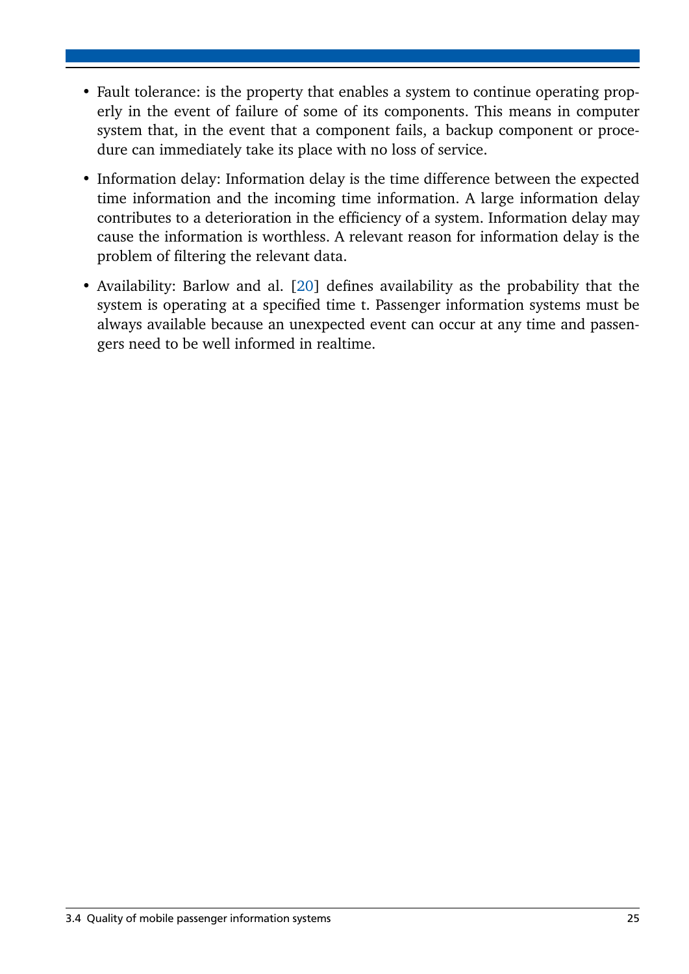- Fault tolerance: is the property that enables a system to continue operating properly in the event of failure of some of its components. This means in computer system that, in the event that a component fails, a backup component or procedure can immediately take its place with no loss of service.
- Information delay: Information delay is the time difference between the expected time information and the incoming time information. A large information delay contributes to a deterioration in the efficiency of a system. Information delay may cause the information is worthless. A relevant reason for information delay is the problem of filtering the relevant data.
- Availability: Barlow and al. [\[20\]](#page-37-13) defines availability as the probability that the system is operating at a specified time t. Passenger information systems must be always available because an unexpected event can occur at any time and passengers need to be well informed in realtime.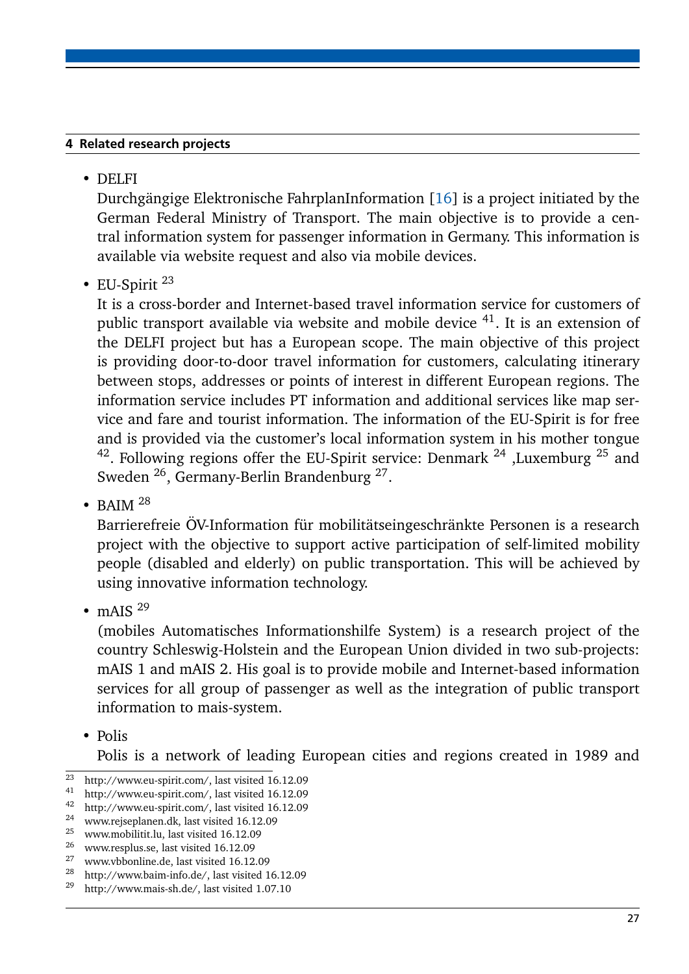## <span id="page-30-0"></span>4 Related research projects

• DELFI

Durchgängige Elektronische FahrplanInformation [\[16\]](#page-37-14) is a project initiated by the German Federal Ministry of Transport. The main objective is to provide a central information system for passenger information in Germany. This information is available via website request and also via mobile devices.

• EU-Spirit  $^{23}$ 

It is a cross-border and Internet-based travel information service for customers of public transport available via website and mobile device  $41$ . It is an extension of the DELFI project but has a European scope. The main objective of this project is providing door-to-door travel information for customers, calculating itinerary between stops, addresses or points of interest in different European regions. The information service includes PT information and additional services like map service and fare and tourist information. The information of the EU-Spirit is for free and is provided via the customer's local information system in his mother tongue <sup>42</sup>. Following regions offer the EU-Spirit service: Denmark <sup>24</sup>, Luxemburg <sup>25</sup> and Sweden <sup>26</sup>, Germany-Berlin Brandenburg <sup>27</sup>.

• BAIM  $^{28}$ 

Barrierefreie ÖV-Information für mobilitätseingeschränkte Personen is a research project with the objective to support active participation of self-limited mobility people (disabled and elderly) on public transportation. This will be achieved by using innovative information technology.

 $\bullet$  mAIS  $^{29}$ 

(mobiles Automatisches Informationshilfe System) is a research project of the country Schleswig-Holstein and the European Union divided in two sub-projects: mAIS 1 and mAIS 2. His goal is to provide mobile and Internet-based information services for all group of passenger as well as the integration of public transport information to mais-system.

• Polis

Polis is a network of leading European cities and regions created in 1989 and

 $\frac{23}{21}$  http://www.eu-spirit.com/, last visited 16.12.09

http://www.eu-spirit.com/, last visited 16.12.09

<sup>42</sup> http://www.eu-spirit.com/, last visited 16.12.09<br> $^{24}$  unuarisical non dk last visited 16.12.00

<sup>24</sup> www.rejseplanen.dk, last visited 16.12.09

<sup>&</sup>lt;sup>25</sup> www.mobilitit.lu, last visited  $16.12.09$ <br><sup>26</sup> supergrave luck visited  $16.12.09$ 

 $\frac{26}{27}$  www.resplus.se, last visited 16.12.09

<sup>&</sup>lt;sup>27</sup> www.vbbonline.de, last visited 16.12.09

<sup>&</sup>lt;sup>28</sup> http://www.baim-info.de/, last visited 16.12.09<br><sup>29</sup> http://www.mais.gb.do/, last visited 1.07.10

<sup>29</sup> http://www.mais-sh.de/, last visited 1.07.10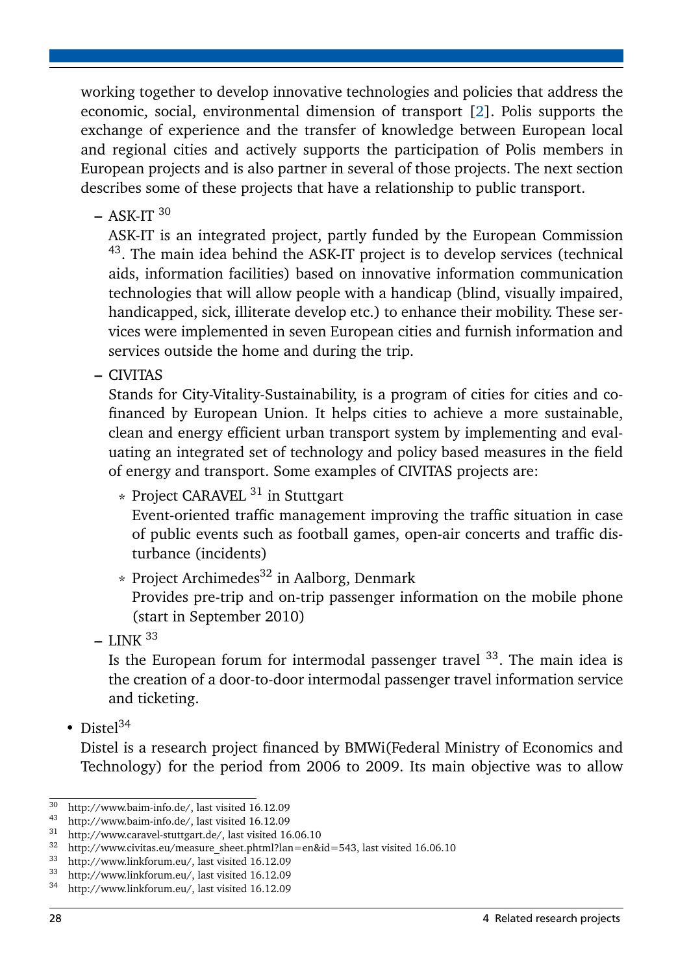working together to develop innovative technologies and policies that address the economic, social, environmental dimension of transport [\[2\]](#page-36-11). Polis supports the exchange of experience and the transfer of knowledge between European local and regional cities and actively supports the participation of Polis members in European projects and is also partner in several of those projects. The next section describes some of these projects that have a relationship to public transport.

**–** ASK-IT <sup>30</sup>

ASK-IT is an integrated project, partly funded by the European Commission <sup>43</sup>. The main idea behind the ASK-IT project is to develop services (technical aids, information facilities) based on innovative information communication technologies that will allow people with a handicap (blind, visually impaired, handicapped, sick, illiterate develop etc.) to enhance their mobility. These services were implemented in seven European cities and furnish information and services outside the home and during the trip.

**–** CIVITAS

Stands for City-Vitality-Sustainability, is a program of cities for cities and cofinanced by European Union. It helps cities to achieve a more sustainable, clean and energy efficient urban transport system by implementing and evaluating an integrated set of technology and policy based measures in the field of energy and transport. Some examples of CIVITAS projects are:

 $*$  Project CARAVEL  $31$  in Stuttgart

Event-oriented traffic management improving the traffic situation in case of public events such as football games, open-air concerts and traffic disturbance (incidents)

 $*$  Project Archimedes<sup>32</sup> in Aalborg, Denmark

Provides pre-trip and on-trip passenger information on the mobile phone (start in September 2010)

**–** LINK <sup>33</sup>

Is the European forum for intermodal passenger travel  $33$ . The main idea is the creation of a door-to-door intermodal passenger travel information service and ticketing.

• Distel $34$ 

Distel is a research project financed by BMWi(Federal Ministry of Economics and Technology) for the period from 2006 to 2009. Its main objective was to allow

 $\frac{30}{10}$  http://www.baim-info.de/, last visited 16.12.09

<sup>&</sup>lt;sup>43</sup> http://www.baim-info.de/, last visited 16.12.09<br><sup>31</sup> http://www.caravel-stuttgart.de/ last visited 16

<sup>&</sup>lt;sup>31</sup> http://www.caravel-stuttgart.de/, last visited 16.06.10<br><sup>32</sup> http://www.civitas.eu/measure\_sheet.phtml?lan=en&

http://www.civitas.eu/measure\_sheet.phtml?lan=en&id=543, last visited 16.06.10

 $33$  http://www.linkforum.eu/, last visited 16.12.09

 $\frac{33}{100}$  http://www.linkforum.eu/, last visited 16.12.09<br> $\frac{34}{100}$  http://www.linkforum.eu/. last visited 16.12.09

http://www.linkforum.eu/, last visited 16.12.09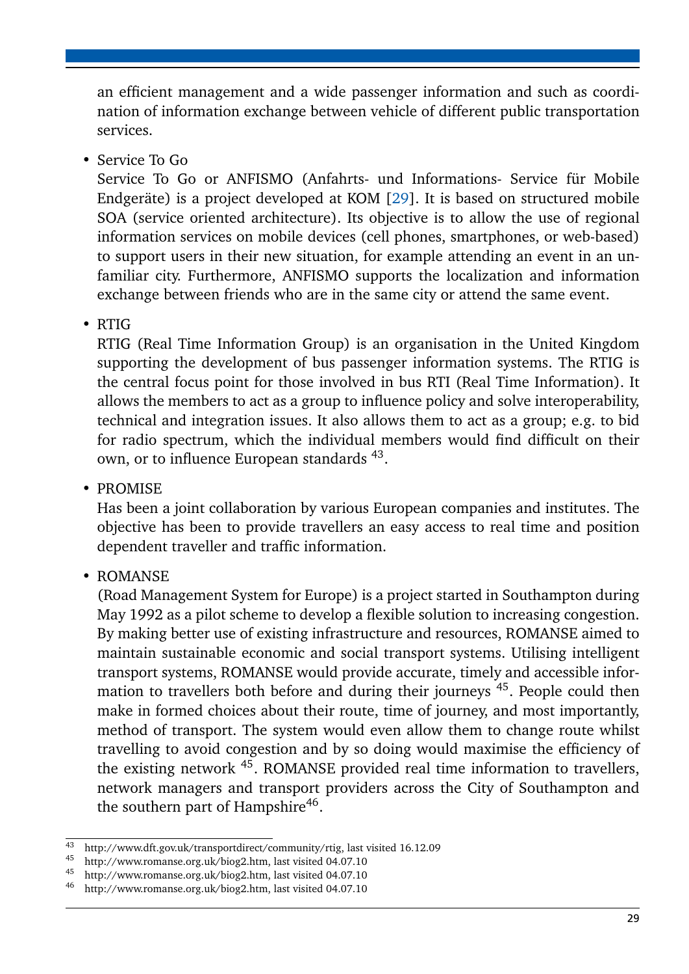an efficient management and a wide passenger information and such as coordination of information exchange between vehicle of different public transportation services.

• Service To Go

Service To Go or ANFISMO (Anfahrts- und Informations- Service für Mobile Endgeräte) is a project developed at KOM [\[29\]](#page-38-1). It is based on structured mobile SOA (service oriented architecture). Its objective is to allow the use of regional information services on mobile devices (cell phones, smartphones, or web-based) to support users in their new situation, for example attending an event in an unfamiliar city. Furthermore, ANFISMO supports the localization and information exchange between friends who are in the same city or attend the same event.

• RTIG

RTIG (Real Time Information Group) is an organisation in the United Kingdom supporting the development of bus passenger information systems. The RTIG is the central focus point for those involved in bus RTI (Real Time Information). It allows the members to act as a group to influence policy and solve interoperability, technical and integration issues. It also allows them to act as a group; e.g. to bid for radio spectrum, which the individual members would find difficult on their own, or to influence European standards <sup>43</sup>.

• PROMISE

Has been a joint collaboration by various European companies and institutes. The objective has been to provide travellers an easy access to real time and position dependent traveller and traffic information.

• ROMANSE

(Road Management System for Europe) is a project started in Southampton during May 1992 as a pilot scheme to develop a flexible solution to increasing congestion. By making better use of existing infrastructure and resources, ROMANSE aimed to maintain sustainable economic and social transport systems. Utilising intelligent transport systems, ROMANSE would provide accurate, timely and accessible information to travellers both before and during their journeys <sup>45</sup>. People could then make in formed choices about their route, time of journey, and most importantly, method of transport. The system would even allow them to change route whilst travelling to avoid congestion and by so doing would maximise the efficiency of the existing network <sup>45</sup>. ROMANSE provided real time information to travellers, network managers and transport providers across the City of Southampton and the southern part of Hampshire<sup>46</sup>.

<sup>43</sup> http://www.dft.gov.uk/transportdirect/community/rtig, last visited 16.12.09

<sup>&</sup>lt;sup>45</sup> http://www.romanse.org.uk/biog2.htm, last visited 04.07.10<br><sup>45</sup> http://www.romanse.org.uk/biog2.htm, last visited 04.07.10

<sup>45</sup> http://www.romanse.org.uk/biog2.htm, last visited 04.07.10

<sup>46</sup> http://www.romanse.org.uk/biog2.htm, last visited 04.07.10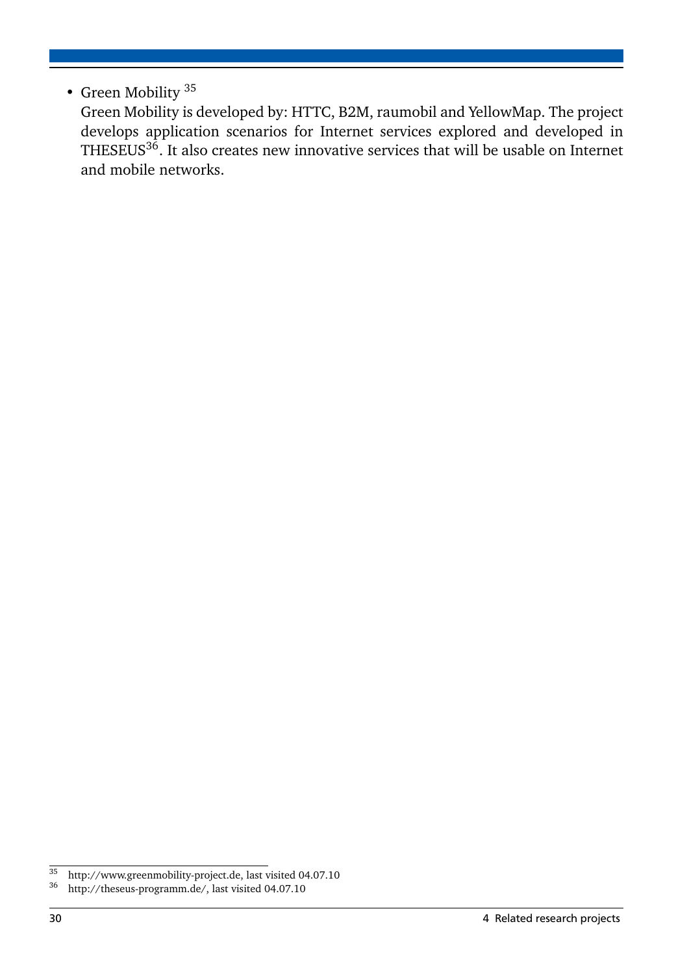# • Green Mobility <sup>35</sup>

Green Mobility is developed by: HTTC, B2M, raumobil and YellowMap. The project develops application scenarios for Internet services explored and developed in THESEUS $^{36}$ . It also creates new innovative services that will be usable on Internet and mobile networks.

 $\frac{35}{35}$  http://www.greenmobility-project.de, last visited 04.07.10<br> $\frac{36}{36}$  http://theseus-programm.de/ last visited 04.07.10

http://theseus-programm.de/, last visited 04.07.10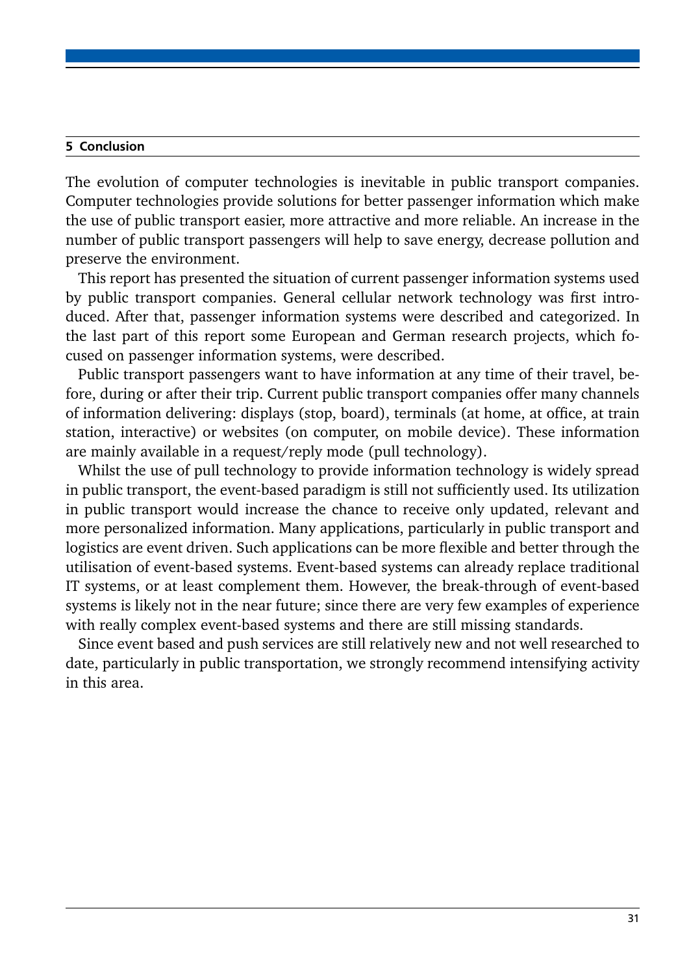#### <span id="page-34-0"></span>5 Conclusion

The evolution of computer technologies is inevitable in public transport companies. Computer technologies provide solutions for better passenger information which make the use of public transport easier, more attractive and more reliable. An increase in the number of public transport passengers will help to save energy, decrease pollution and preserve the environment.

This report has presented the situation of current passenger information systems used by public transport companies. General cellular network technology was first introduced. After that, passenger information systems were described and categorized. In the last part of this report some European and German research projects, which focused on passenger information systems, were described.

Public transport passengers want to have information at any time of their travel, before, during or after their trip. Current public transport companies offer many channels of information delivering: displays (stop, board), terminals (at home, at office, at train station, interactive) or websites (on computer, on mobile device). These information are mainly available in a request/reply mode (pull technology).

Whilst the use of pull technology to provide information technology is widely spread in public transport, the event-based paradigm is still not sufficiently used. Its utilization in public transport would increase the chance to receive only updated, relevant and more personalized information. Many applications, particularly in public transport and logistics are event driven. Such applications can be more flexible and better through the utilisation of event-based systems. Event-based systems can already replace traditional IT systems, or at least complement them. However, the break-through of event-based systems is likely not in the near future; since there are very few examples of experience with really complex event-based systems and there are still missing standards.

Since event based and push services are still relatively new and not well researched to date, particularly in public transportation, we strongly recommend intensifying activity in this area.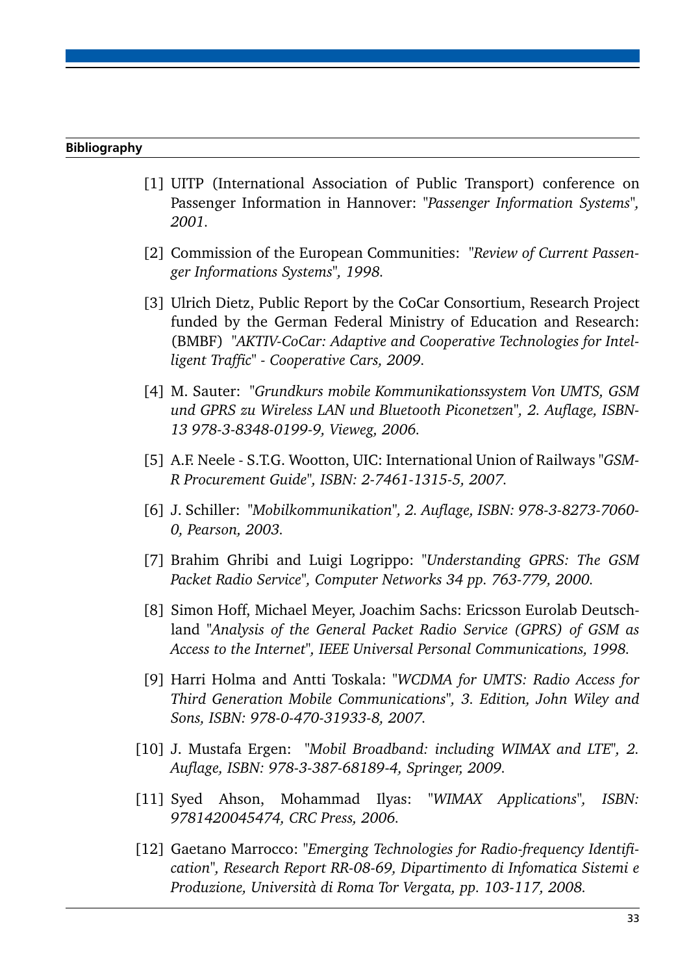#### Bibliography

- <span id="page-36-0"></span>[1] UITP (International Association of Public Transport) conference on Passenger Information in Hannover: *"Passenger Information Systems", 2001.*
- <span id="page-36-11"></span>[2] Commission of the European Communities: *"Review of Current Passenger Informations Systems", 1998.*
- <span id="page-36-2"></span>[3] Ulrich Dietz, Public Report by the CoCar Consortium, Research Project funded by the German Federal Ministry of Education and Research: (BMBF) *"AKTIV-CoCar: Adaptive and Cooperative Technologies for Intelligent Traffic" - Cooperative Cars, 2009.*
- <span id="page-36-3"></span>[4] M. Sauter: *"Grundkurs mobile Kommunikationssystem Von UMTS, GSM und GPRS zu Wireless LAN und Bluetooth Piconetzen", 2. Auflage, ISBN-13 978-3-8348-0199-9, Vieweg, 2006.*
- <span id="page-36-4"></span>[5] A.F. Neele - S.T.G. Wootton, UIC: International Union of Railways *"GSM-R Procurement Guide", ISBN: 2-7461-1315-5, 2007.*
- <span id="page-36-10"></span>[6] J. Schiller: *"Mobilkommunikation", 2. Auflage, ISBN: 978-3-8273-7060- 0, Pearson, 2003.*
- <span id="page-36-6"></span>[7] Brahim Ghribi and Luigi Logrippo: *"Understanding GPRS: The GSM Packet Radio Service", Computer Networks 34 pp. 763-779, 2000.*
- <span id="page-36-5"></span>[8] Simon Hoff, Michael Meyer, Joachim Sachs: Ericsson Eurolab Deutschland *"Analysis of the General Packet Radio Service (GPRS) of GSM as Access to the Internet", IEEE Universal Personal Communications, 1998.*
- <span id="page-36-7"></span>[9] Harri Holma and Antti Toskala: *"WCDMA for UMTS: Radio Access for Third Generation Mobile Communications", 3. Edition, John Wiley and Sons, ISBN: 978-0-470-31933-8, 2007.*
- <span id="page-36-1"></span>[10] J. Mustafa Ergen: *"Mobil Broadband: including WIMAX and LTE", 2. Auflage, ISBN: 978-3-387-68189-4, Springer, 2009.*
- <span id="page-36-9"></span>[11] Syed Ahson, Mohammad Ilyas: *"WIMAX Applications", ISBN: 9781420045474, CRC Press, 2006.*
- <span id="page-36-8"></span>[12] Gaetano Marrocco: *"Emerging Technologies for Radio-frequency Identification", Research Report RR-08-69, Dipartimento di Infomatica Sistemi e Produzione, Università di Roma Tor Vergata, pp. 103-117, 2008.*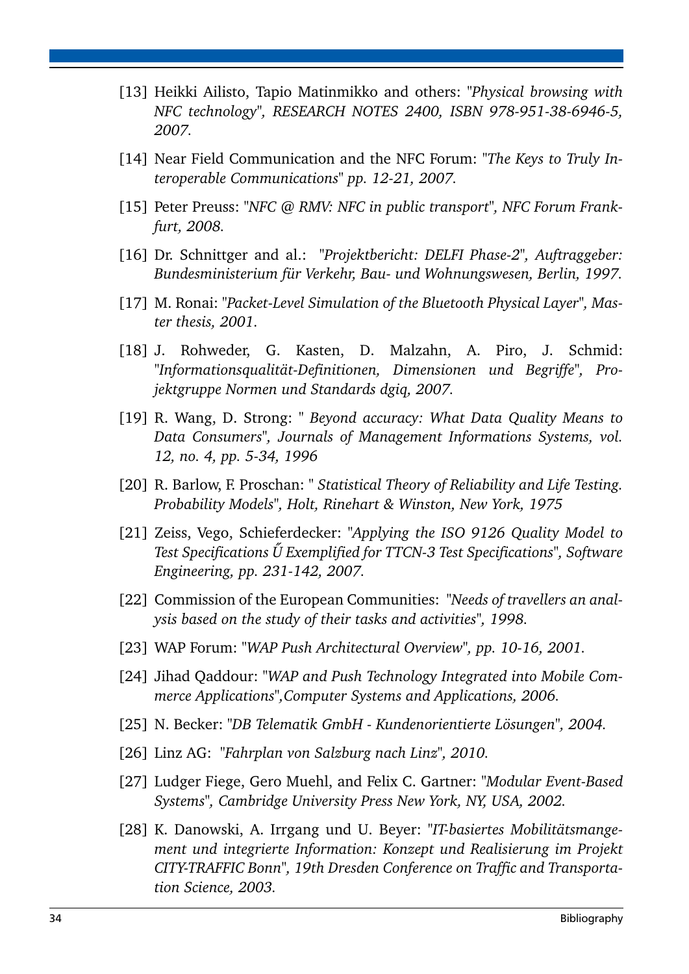- <span id="page-37-0"></span>[13] Heikki Ailisto, Tapio Matinmikko and others: *"Physical browsing with NFC technology", RESEARCH NOTES 2400, ISBN 978-951-38-6946-5, 2007.*
- [14] Near Field Communication and the NFC Forum: "The Keys to Truly In*teroperable Communications" pp. 12-21, 2007.*
- <span id="page-37-1"></span>[15] Peter Preuss: "NFC @ RMV: NFC in public transport", NFC Forum Frank*furt, 2008.*
- <span id="page-37-14"></span>[16] Dr. Schnittger and al.: *"Projektbericht: DELFI Phase-2", Auftraggeber: Bundesministerium für Verkehr, Bau- und Wohnungswesen, Berlin, 1997.*
- <span id="page-37-2"></span>[17] M. Ronai: "Packet-Level Simulation of the Bluetooth Physical Layer", Mas*ter thesis, 2001.*
- <span id="page-37-12"></span>[18] J. Rohweder, G. Kasten, D. Malzahn, A. Piro, J. Schmid: *"Informationsqualität-Definitionen, Dimensionen und Begriffe", Projektgruppe Normen und Standards dgiq, 2007.*
- <span id="page-37-11"></span>[19] R. Wang, D. Strong: *" Beyond accuracy: What Data Quality Means to Data Consumers", Journals of Management Informations Systems, vol. 12, no. 4, pp. 5-34, 1996*
- <span id="page-37-13"></span>[20] R. Barlow, F. Proschan: *" Statistical Theory of Reliability and Life Testing. Probability Models", Holt, Rinehart & Winston, New York, 1975*
- <span id="page-37-10"></span>[21] Zeiss, Vego, Schieferdecker: *"Applying the ISO 9126 Quality Model to Test Specifications U Exemplified for TTCN-3 Test Specifications", Software ˝ Engineering, pp. 231-142, 2007.*
- <span id="page-37-6"></span>[22] Commission of the European Communities: *"Needs of travellers an analysis based on the study of their tasks and activities", 1998.*
- <span id="page-37-3"></span>[23] WAP Forum: *"WAP Push Architectural Overview", pp. 10-16, 2001.*
- <span id="page-37-4"></span>[24] Jihad Qaddour: "WAP and Push Technology Integrated into Mobile Com*merce Applications",Computer Systems and Applications, 2006.*
- <span id="page-37-8"></span>[25] N. Becker: *"DB Telematik GmbH - Kundenorientierte Lösungen", 2004.*
- <span id="page-37-7"></span>[26] Linz AG: *"Fahrplan von Salzburg nach Linz", 2010.*
- <span id="page-37-5"></span>[27] Ludger Fiege, Gero Muehl, and Felix C. Gartner: *"Modular Event-Based Systems", Cambridge University Press New York, NY, USA, 2002.*
- <span id="page-37-9"></span>[28] K. Danowski, A. Irrgang und U. Beyer: *"IT-basiertes Mobilitätsmangement und integrierte Information: Konzept und Realisierung im Projekt CITY-TRAFFIC Bonn", 19th Dresden Conference on Traffic and Transportation Science, 2003.*